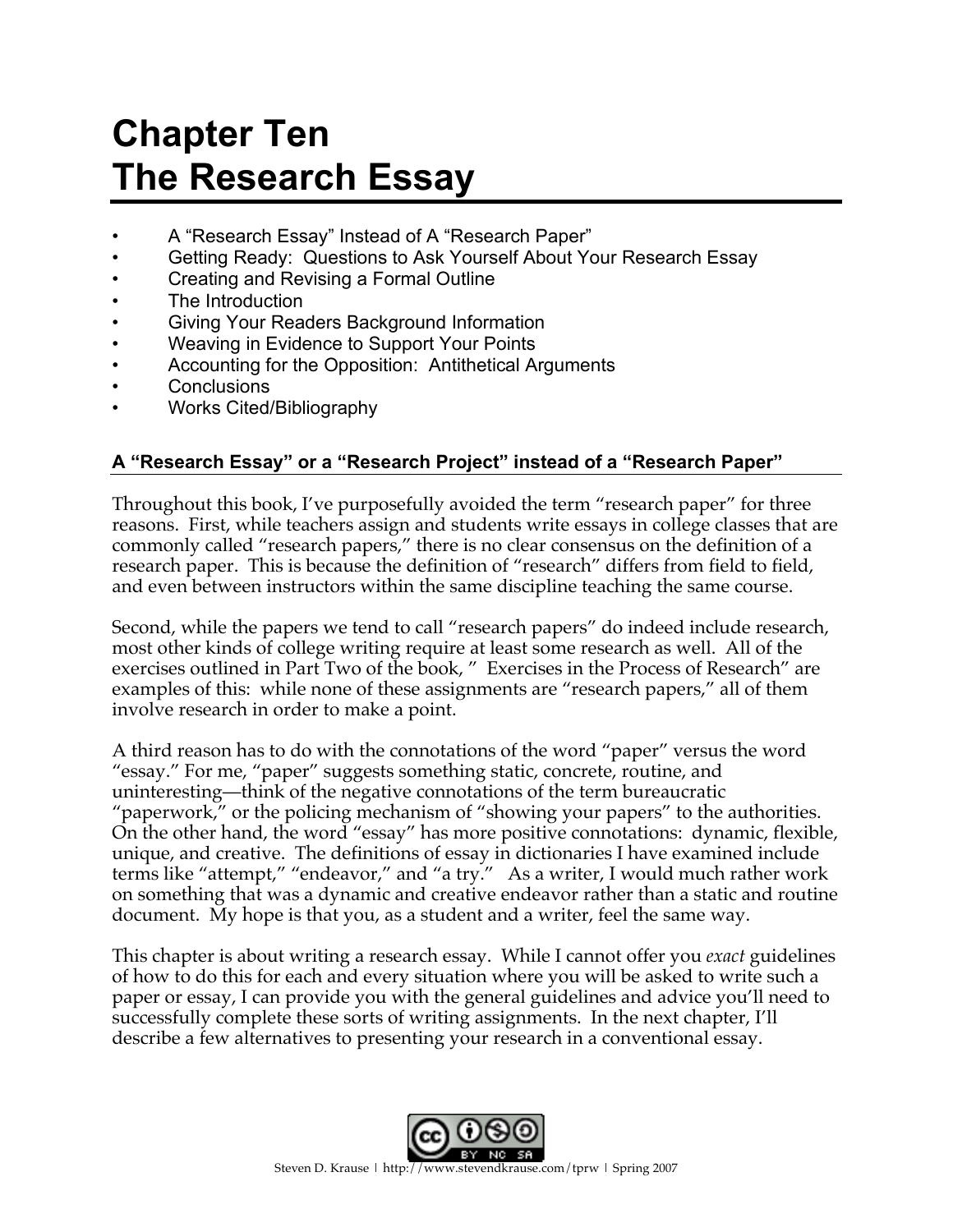# **Chapter Ten The Research Essay**

- A "Research Essay" Instead of A "Research Paper"
- Getting Ready: Questions to Ask Yourself About Your Research Essay
- Creating and Revising a Formal Outline
- The Introduction
- Giving Your Readers Background Information
- Weaving in Evidence to Support Your Points
- Accounting for the Opposition: Antithetical Arguments
- **Conclusions**
- Works Cited/Bibliography

## **A "Research Essay" or a "Research Project" instead of a "Research Paper"**

Throughout this book, I've purposefully avoided the term "research paper" for three reasons. First, while teachers assign and students write essays in college classes that are commonly called "research papers," there is no clear consensus on the definition of a research paper. This is because the definition of "research" differs from field to field, and even between instructors within the same discipline teaching the same course.

Second, while the papers we tend to call "research papers" do indeed include research, most other kinds of college writing require at least some research as well. All of the exercises outlined in Part Two of the book, " Exercises in the Process of Research" are examples of this: while none of these assignments are "research papers," all of them involve research in order to make a point.

A third reason has to do with the connotations of the word "paper" versus the word "essay." For me, "paper" suggests something static, concrete, routine, and uninteresting—think of the negative connotations of the term bureaucratic "paperwork," or the policing mechanism of "showing your papers" to the authorities. On the other hand, the word "essay" has more positive connotations: dynamic, flexible, unique, and creative. The definitions of essay in dictionaries I have examined include terms like "attempt," "endeavor," and "a try." As a writer, I would much rather work on something that was a dynamic and creative endeavor rather than a static and routine document. My hope is that you, as a student and a writer, feel the same way.

This chapter is about writing a research essay. While I cannot offer you *exact* guidelines of how to do this for each and every situation where you will be asked to write such a paper or essay, I can provide you with the general guidelines and advice you'll need to successfully complete these sorts of writing assignments. In the next chapter, I'll describe a few alternatives to presenting your research in a conventional essay.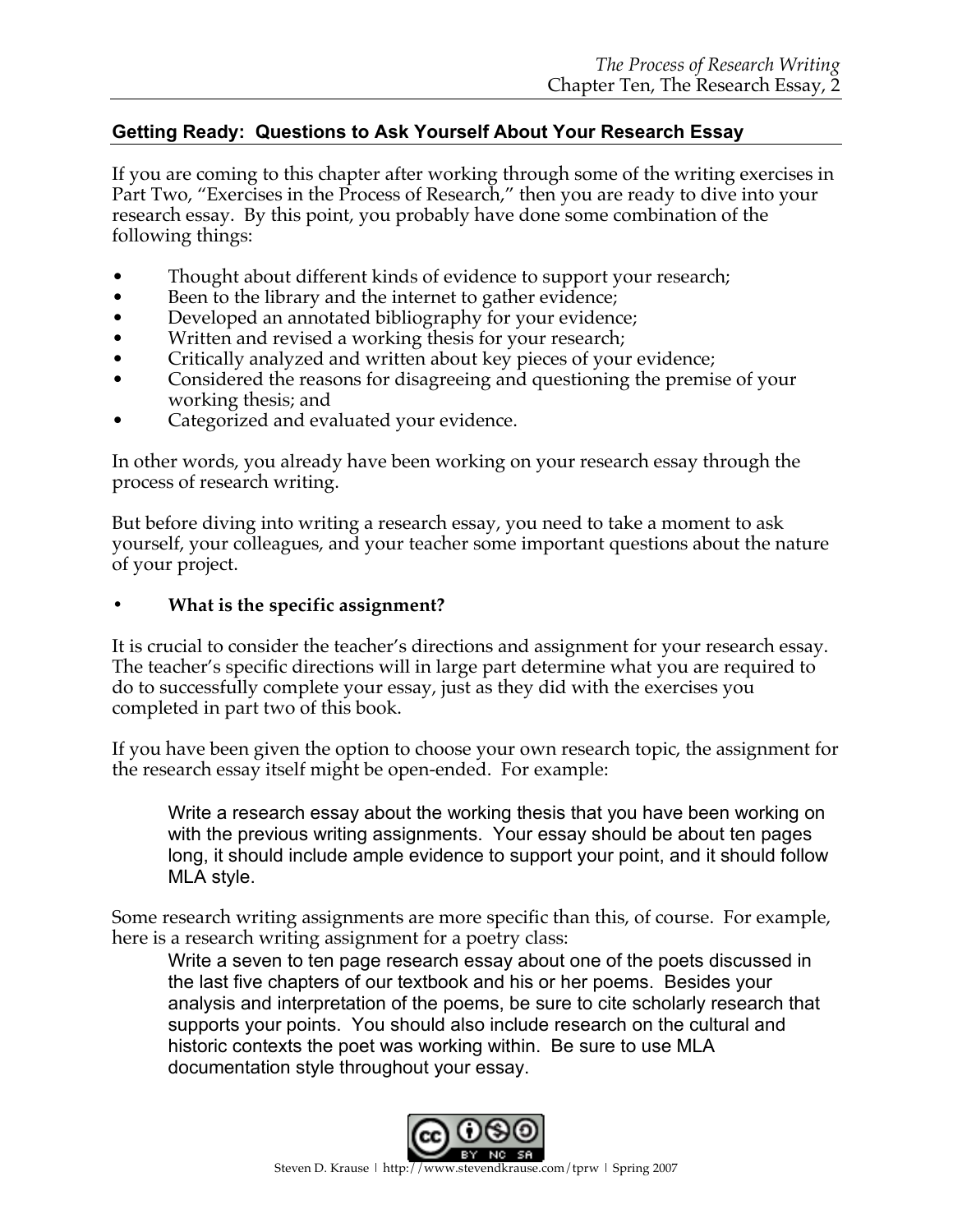## **Getting Ready: Questions to Ask Yourself About Your Research Essay**

If you are coming to this chapter after working through some of the writing exercises in Part Two, "Exercises in the Process of Research," then you are ready to dive into your research essay. By this point, you probably have done some combination of the following things:

- Thought about different kinds of evidence to support your research;
- Been to the library and the internet to gather evidence;
- Developed an annotated bibliography for your evidence;
- Written and revised a working thesis for your research;
- Critically analyzed and written about key pieces of your evidence;
- Considered the reasons for disagreeing and questioning the premise of your working thesis; and
- Categorized and evaluated your evidence.

In other words, you already have been working on your research essay through the process of research writing.

But before diving into writing a research essay, you need to take a moment to ask yourself, your colleagues, and your teacher some important questions about the nature of your project.

## **• What is the specific assignment?**

It is crucial to consider the teacher's directions and assignment for your research essay. The teacher's specific directions will in large part determine what you are required to do to successfully complete your essay, just as they did with the exercises you completed in part two of this book.

If you have been given the option to choose your own research topic, the assignment for the research essay itself might be open-ended. For example:

Write a research essay about the working thesis that you have been working on with the previous writing assignments. Your essay should be about ten pages long, it should include ample evidence to support your point, and it should follow MLA style.

Some research writing assignments are more specific than this, of course. For example, here is a research writing assignment for a poetry class:

Write a seven to ten page research essay about one of the poets discussed in the last five chapters of our textbook and his or her poems. Besides your analysis and interpretation of the poems, be sure to cite scholarly research that supports your points. You should also include research on the cultural and historic contexts the poet was working within. Be sure to use MLA documentation style throughout your essay.

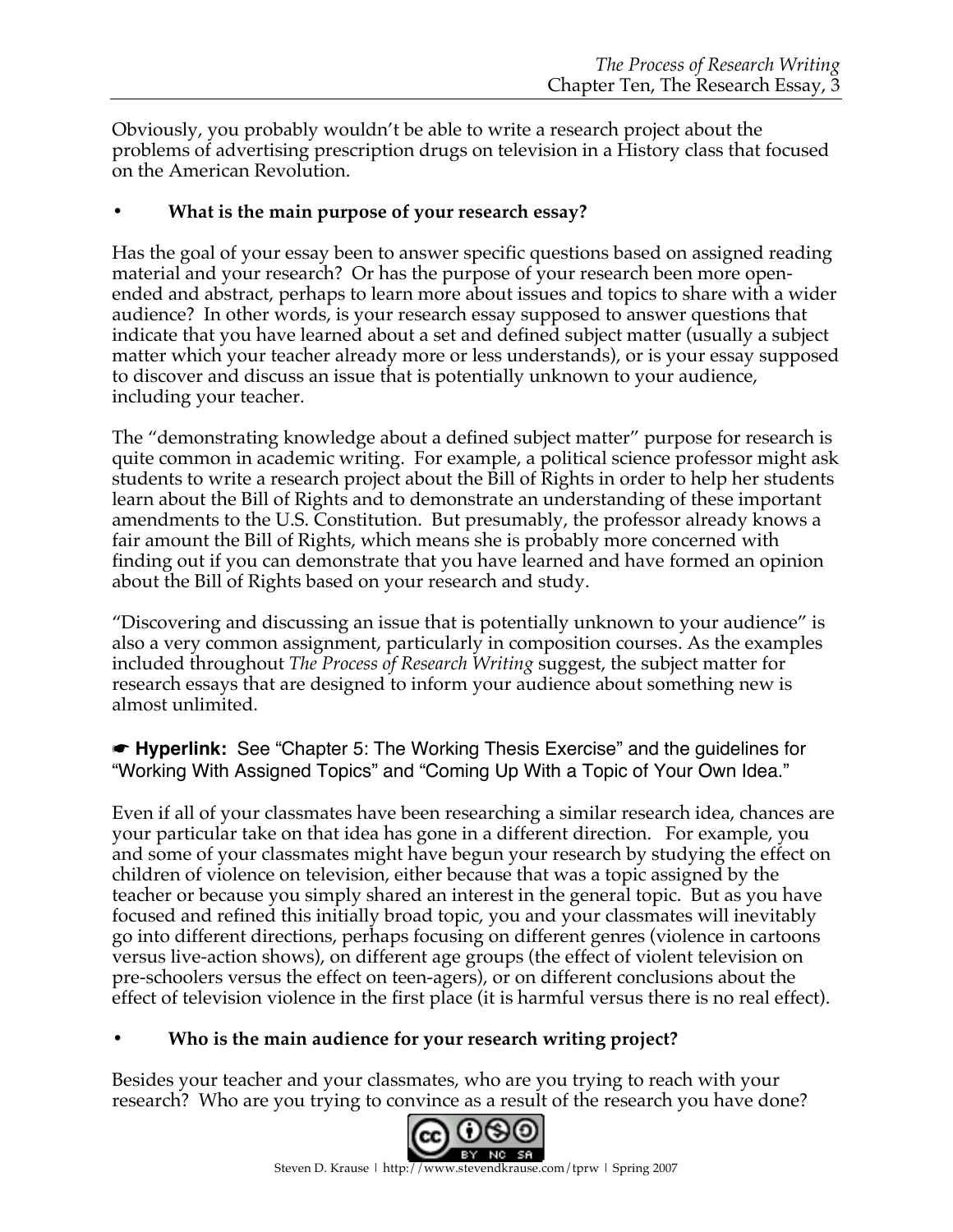Obviously, you probably wouldn't be able to write a research project about the problems of advertising prescription drugs on television in a History class that focused on the American Revolution.

## **• What is the main purpose of your research essay?**

Has the goal of your essay been to answer specific questions based on assigned reading material and your research? Or has the purpose of your research been more openended and abstract, perhaps to learn more about issues and topics to share with a wider audience? In other words, is your research essay supposed to answer questions that indicate that you have learned about a set and defined subject matter (usually a subject matter which your teacher already more or less understands), or is your essay supposed to discover and discuss an issue that is potentially unknown to your audience, including your teacher.

The "demonstrating knowledge about a defined subject matter" purpose for research is quite common in academic writing. For example, a political science professor might ask students to write a research project about the Bill of Rights in order to help her students learn about the Bill of Rights and to demonstrate an understanding of these important amendments to the U.S. Constitution. But presumably, the professor already knows a fair amount the Bill of Rights, which means she is probably more concerned with finding out if you can demonstrate that you have learned and have formed an opinion about the Bill of Rights based on your research and study.

"Discovering and discussing an issue that is potentially unknown to your audience" is also a very common assignment, particularly in composition courses. As the examples included throughout *The Process of Research Writing* suggest, the subject matter for research essays that are designed to inform your audience about something new is almost unlimited.

☛ **Hyperlink:** See "Chapter 5: The Working Thesis Exercise" and the guidelines for "Working With Assigned Topics" and "Coming Up With a Topic of Your Own Idea."

Even if all of your classmates have been researching a similar research idea, chances are your particular take on that idea has gone in a different direction. For example, you and some of your classmates might have begun your research by studying the effect on children of violence on television, either because that was a topic assigned by the teacher or because you simply shared an interest in the general topic. But as you have focused and refined this initially broad topic, you and your classmates will inevitably go into different directions, perhaps focusing on different genres (violence in cartoons versus live-action shows), on different age groups (the effect of violent television on pre-schoolers versus the effect on teen-agers), or on different conclusions about the effect of television violence in the first place (it is harmful versus there is no real effect).

## **• Who is the main audience for your research writing project?**

Besides your teacher and your classmates, who are you trying to reach with your research? Who are you trying to convince as a result of the research you have done?

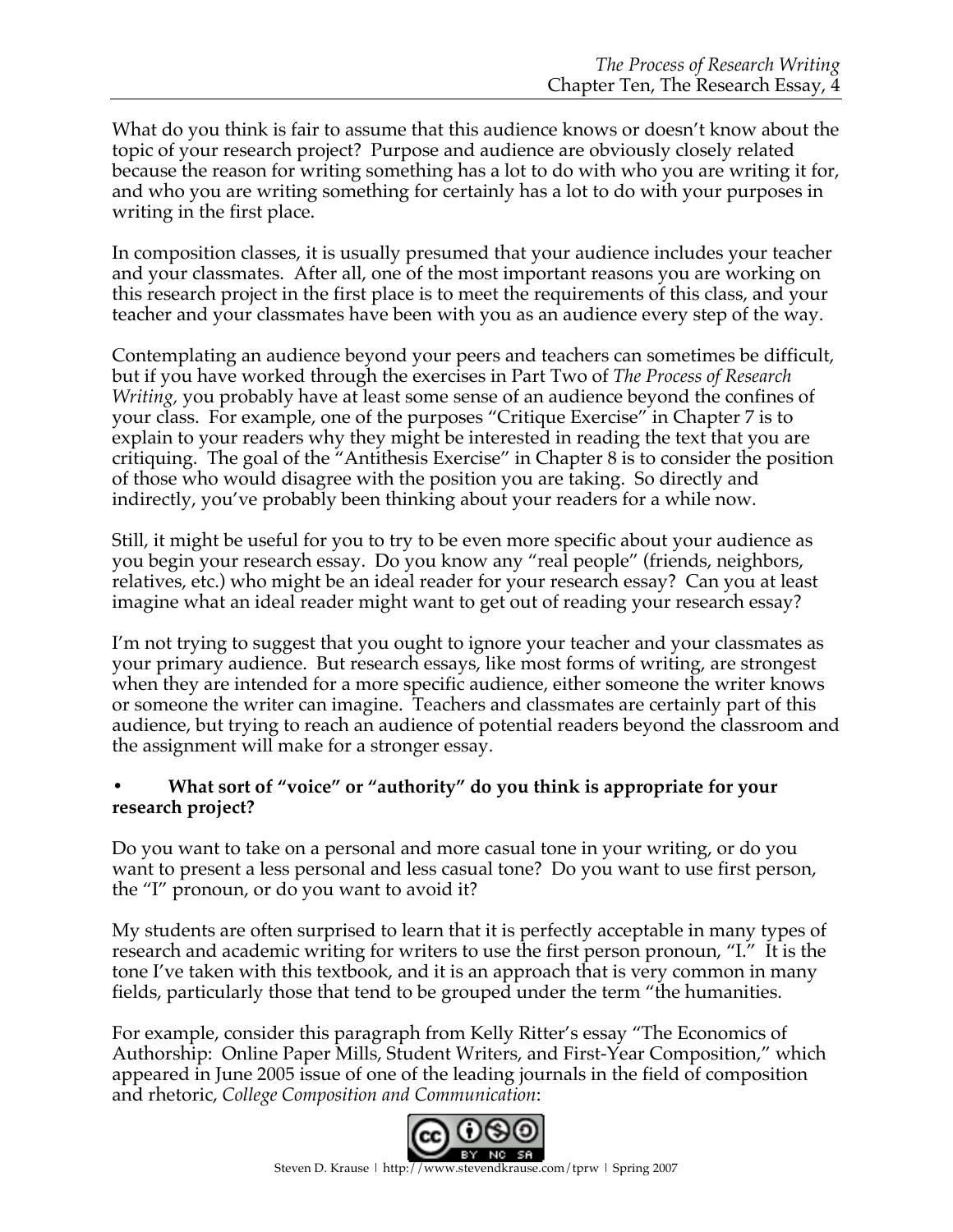What do you think is fair to assume that this audience knows or doesn't know about the topic of your research project? Purpose and audience are obviously closely related because the reason for writing something has a lot to do with who you are writing it for, and who you are writing something for certainly has a lot to do with your purposes in writing in the first place.

In composition classes, it is usually presumed that your audience includes your teacher and your classmates. After all, one of the most important reasons you are working on this research project in the first place is to meet the requirements of this class, and your teacher and your classmates have been with you as an audience every step of the way.

Contemplating an audience beyond your peers and teachers can sometimes be difficult, but if you have worked through the exercises in Part Two of *The Process of Research Writing,* you probably have at least some sense of an audience beyond the confines of your class. For example, one of the purposes "Critique Exercise" in Chapter 7 is to explain to your readers why they might be interested in reading the text that you are critiquing. The goal of the "Antithesis Exercise" in Chapter 8 is to consider the position of those who would disagree with the position you are taking. So directly and indirectly, you've probably been thinking about your readers for a while now.

Still, it might be useful for you to try to be even more specific about your audience as you begin your research essay. Do you know any "real people" (friends, neighbors, relatives, etc.) who might be an ideal reader for your research essay? Can you at least imagine what an ideal reader might want to get out of reading your research essay?

I'm not trying to suggest that you ought to ignore your teacher and your classmates as your primary audience. But research essays, like most forms of writing, are strongest when they are intended for a more specific audience, either someone the writer knows or someone the writer can imagine. Teachers and classmates are certainly part of this audience, but trying to reach an audience of potential readers beyond the classroom and the assignment will make for a stronger essay.

## **• What sort of "voice" or "authority" do you think is appropriate for your research project?**

Do you want to take on a personal and more casual tone in your writing, or do you want to present a less personal and less casual tone? Do you want to use first person, the "I" pronoun, or do you want to avoid it?

My students are often surprised to learn that it is perfectly acceptable in many types of research and academic writing for writers to use the first person pronoun, "I." It is the tone I've taken with this textbook, and it is an approach that is very common in many fields, particularly those that tend to be grouped under the term "the humanities.

For example, consider this paragraph from Kelly Ritter's essay "The Economics of Authorship: Online Paper Mills, Student Writers, and First-Year Composition," which appeared in June 2005 issue of one of the leading journals in the field of composition and rhetoric, *College Composition and Communication*:

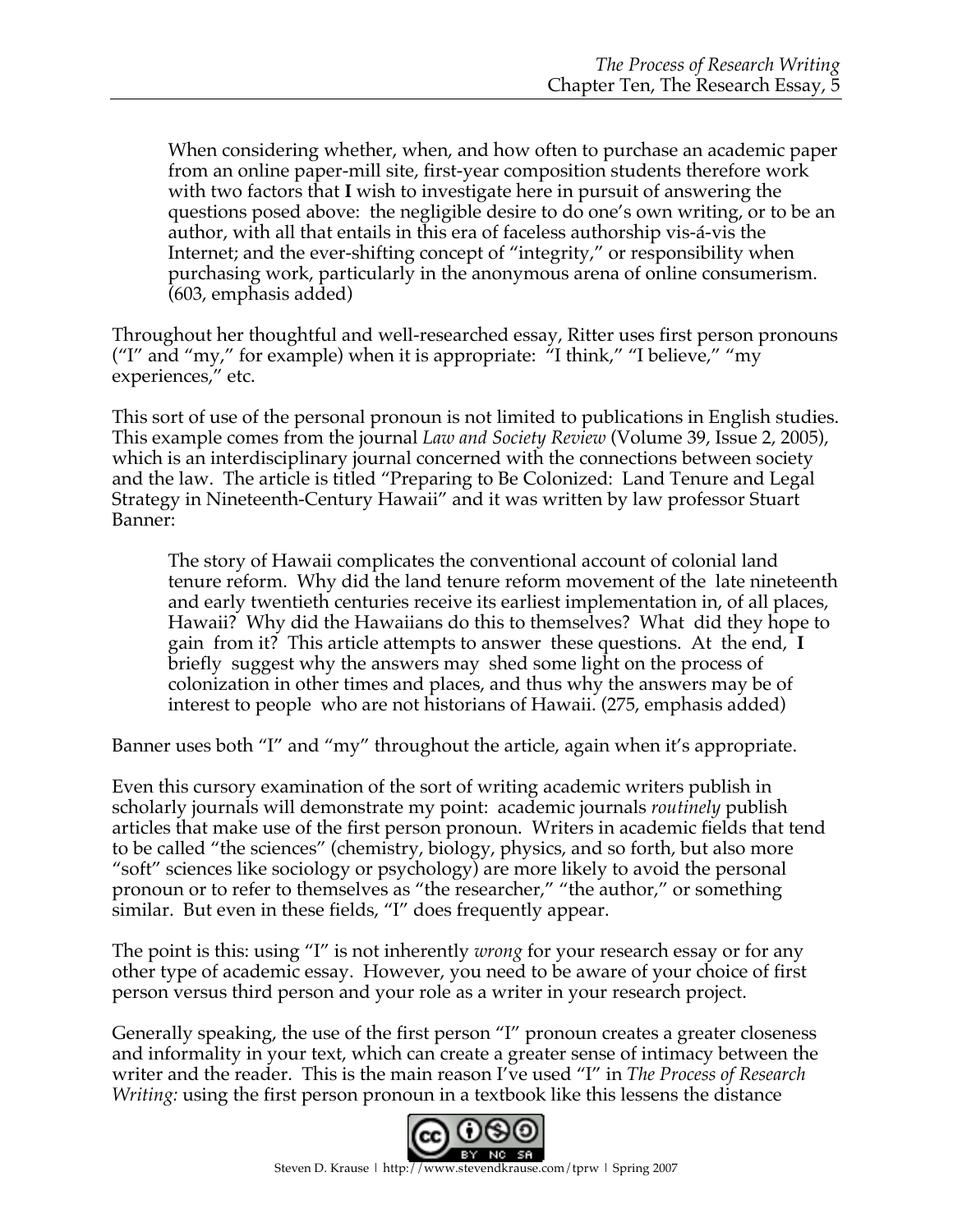When considering whether, when, and how often to purchase an academic paper from an online paper-mill site, first-year composition students therefore work with two factors that **I** wish to investigate here in pursuit of answering the questions posed above: the negligible desire to do one's own writing, or to be an author, with all that entails in this era of faceless authorship vis-á-vis the Internet; and the ever-shifting concept of "integrity," or responsibility when purchasing work, particularly in the anonymous arena of online consumerism. (603, emphasis added)

Throughout her thoughtful and well-researched essay, Ritter uses first person pronouns ("I" and "my," for example) when it is appropriate:  $H$ <sup>\*</sup>I think," "I believe," "my experiences," etc.

This sort of use of the personal pronoun is not limited to publications in English studies. This example comes from the journal *Law and Society Review* (Volume 39, Issue 2, 2005), which is an interdisciplinary journal concerned with the connections between society and the law. The article is titled "Preparing to Be Colonized: Land Tenure and Legal Strategy in Nineteenth-Century Hawaii" and it was written by law professor Stuart Banner:

The story of Hawaii complicates the conventional account of colonial land tenure reform. Why did the land tenure reform movement of the late nineteenth and early twentieth centuries receive its earliest implementation in, of all places, Hawaii? Why did the Hawaiians do this to themselves? What did they hope to gain from it? This article attempts to answer these questions. At the end, **I** briefly suggest why the answers may shed some light on the process of colonization in other times and places, and thus why the answers may be of interest to people who are not historians of Hawaii. (275, emphasis added)

Banner uses both "I" and "my" throughout the article, again when it's appropriate.

Even this cursory examination of the sort of writing academic writers publish in scholarly journals will demonstrate my point: academic journals *routinely* publish articles that make use of the first person pronoun. Writers in academic fields that tend to be called "the sciences" (chemistry, biology, physics, and so forth, but also more "soft" sciences like sociology or psychology) are more likely to avoid the personal pronoun or to refer to themselves as "the researcher," "the author," or something similar. But even in these fields, "I" does frequently appear.

The point is this: using "I" is not inherently *wrong* for your research essay or for any other type of academic essay. However, you need to be aware of your choice of first person versus third person and your role as a writer in your research project.

Generally speaking, the use of the first person "I" pronoun creates a greater closeness and informality in your text, which can create a greater sense of intimacy between the writer and the reader. This is the main reason I've used "I" in *The Process of Research Writing:* using the first person pronoun in a textbook like this lessens the distance

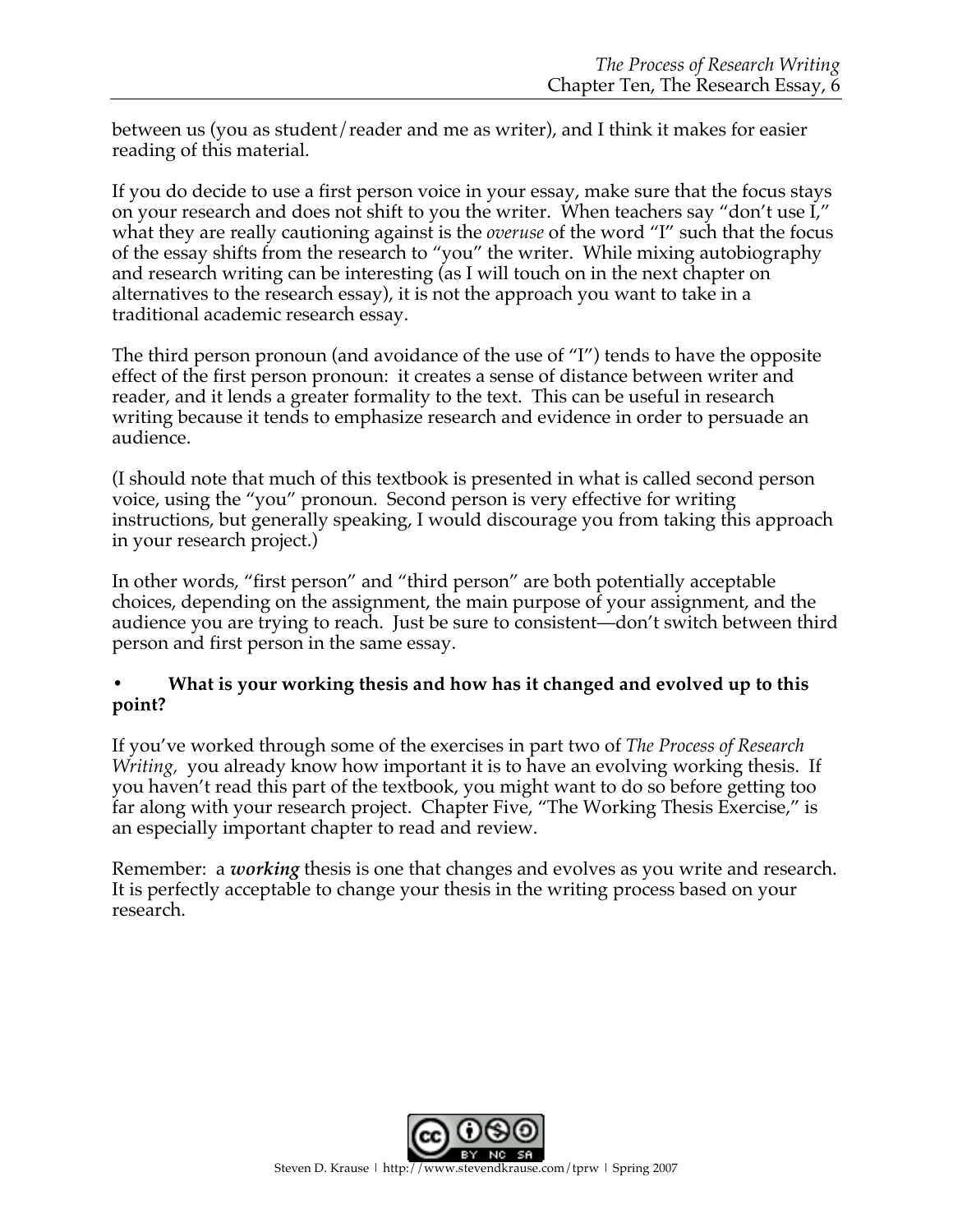between us (you as student/reader and me as writer), and I think it makes for easier reading of this material.

If you do decide to use a first person voice in your essay, make sure that the focus stays on your research and does not shift to you the writer. When teachers say "don't use I," what they are really cautioning against is the *overuse* of the word "I" such that the focus of the essay shifts from the research to "you" the writer. While mixing autobiography and research writing can be interesting (as I will touch on in the next chapter on alternatives to the research essay), it is not the approach you want to take in a traditional academic research essay.

The third person pronoun (and avoidance of the use of "I") tends to have the opposite effect of the first person pronoun: it creates a sense of distance between writer and reader, and it lends a greater formality to the text. This can be useful in research writing because it tends to emphasize research and evidence in order to persuade an audience.

(I should note that much of this textbook is presented in what is called second person voice, using the "you" pronoun. Second person is very effective for writing instructions, but generally speaking, I would discourage you from taking this approach in your research project.)

In other words, "first person" and "third person" are both potentially acceptable choices, depending on the assignment, the main purpose of your assignment, and the audience you are trying to reach. Just be sure to consistent—don't switch between third person and first person in the same essay.

## **• What is your working thesis and how has it changed and evolved up to this point?**

If you've worked through some of the exercises in part two of *The Process of Research Writing*, you already know how important it is to have an evolving working thesis. If you haven't read this part of the textbook, you might want to do so before getting too far along with your research project. Chapter Five, "The Working Thesis Exercise," is an especially important chapter to read and review.

Remember: a *working* thesis is one that changes and evolves as you write and research. It is perfectly acceptable to change your thesis in the writing process based on your research.

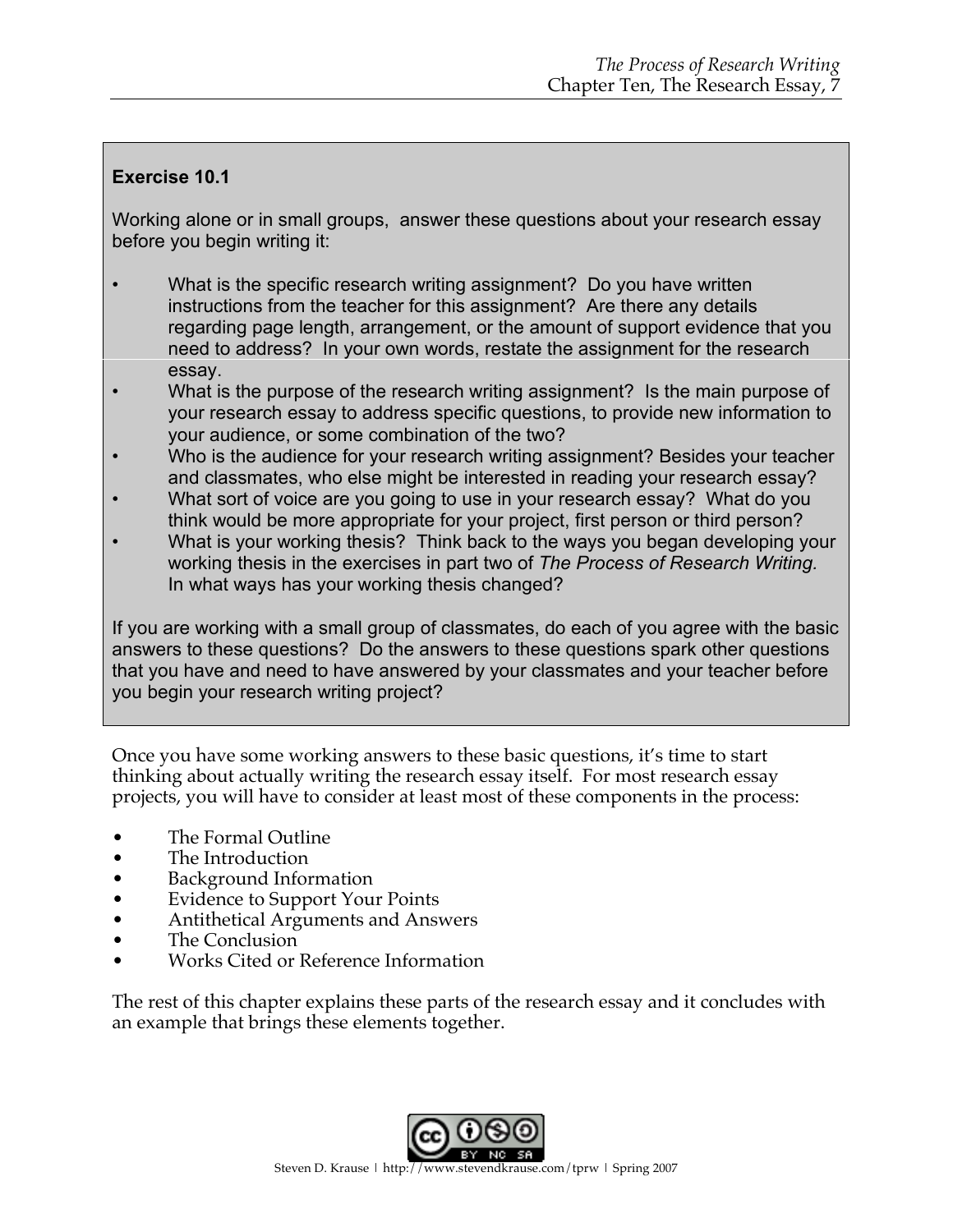## **Exercise 10.1**

Working alone or in small groups, answer these questions about your research essay before you begin writing it:

- What is the specific research writing assignment? Do you have written instructions from the teacher for this assignment? Are there any details regarding page length, arrangement, or the amount of support evidence that you need to address? In your own words, restate the assignment for the research essay.
- What is the purpose of the research writing assignment? Is the main purpose of your research essay to address specific questions, to provide new information to your audience, or some combination of the two?
- Who is the audience for your research writing assignment? Besides your teacher and classmates, who else might be interested in reading your research essay?
- What sort of voice are you going to use in your research essay? What do you think would be more appropriate for your project, first person or third person?
- What is your working thesis? Think back to the ways you began developing your working thesis in the exercises in part two of *The Process of Research Writing.* In what ways has your working thesis changed?

If you are working with a small group of classmates, do each of you agree with the basic answers to these questions? Do the answers to these questions spark other questions that you have and need to have answered by your classmates and your teacher before you begin your research writing project?

Once you have some working answers to these basic questions, it's time to start thinking about actually writing the research essay itself. For most research essay projects, you will have to consider at least most of these components in the process:

- The Formal Outline
- The Introduction
- Background Information
- Evidence to Support Your Points
- Antithetical Arguments and Answers
- The Conclusion
- Works Cited or Reference Information

The rest of this chapter explains these parts of the research essay and it concludes with an example that brings these elements together.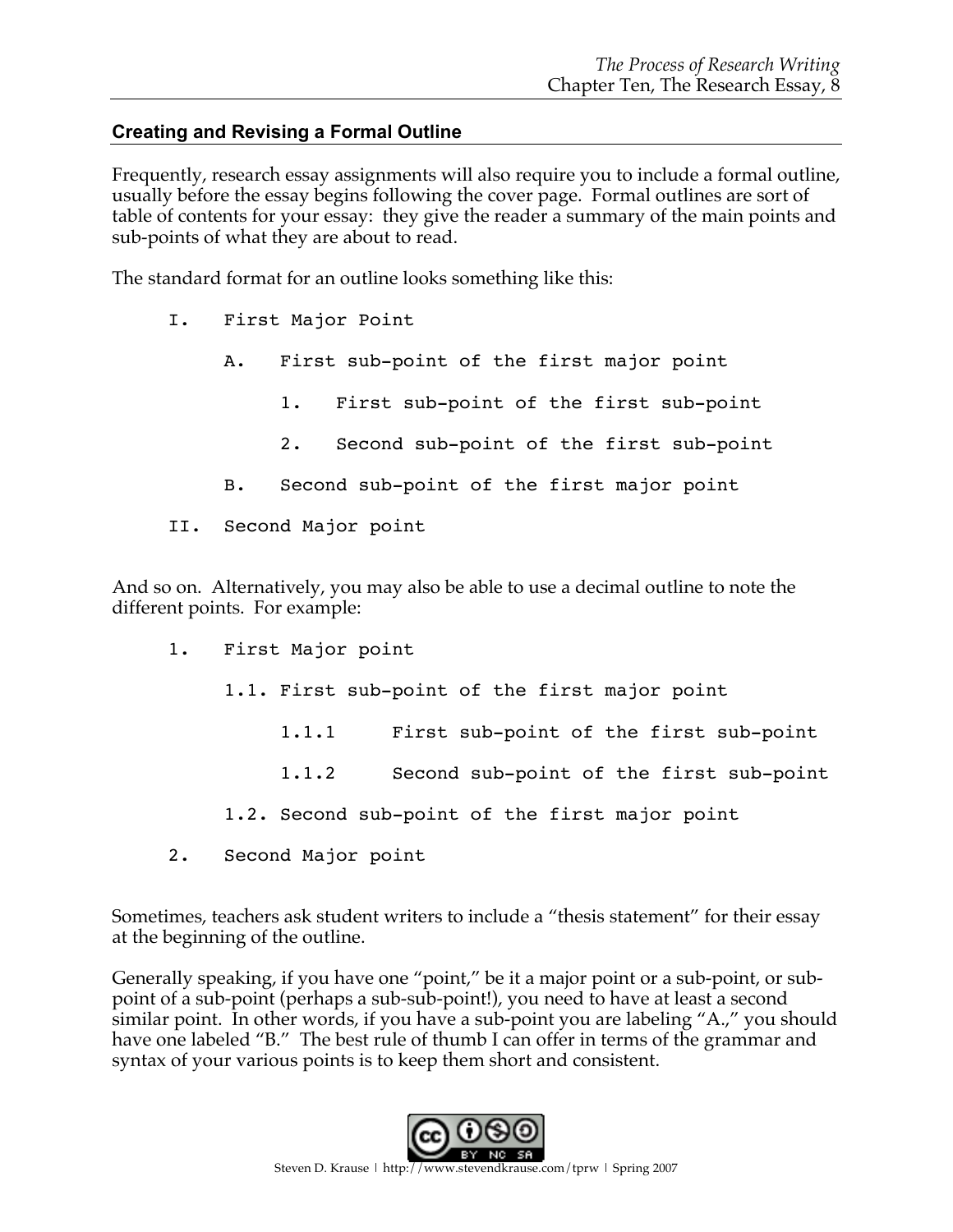## **Creating and Revising a Formal Outline**

Frequently, research essay assignments will also require you to include a formal outline, usually before the essay begins following the cover page. Formal outlines are sort of table of contents for your essay: they give the reader a summary of the main points and sub-points of what they are about to read.

The standard format for an outline looks something like this:

- I. First Major Point
	- A. First sub-point of the first major point
		- 1. First sub-point of the first sub-point
		- 2. Second sub-point of the first sub-point
	- B. Second sub-point of the first major point
- II. Second Major point

And so on. Alternatively, you may also be able to use a decimal outline to note the different points. For example:

- 1. First Major point
	- 1.1. First sub-point of the first major point
		- 1.1.1 First sub-point of the first sub-point
		- 1.1.2 Second sub-point of the first sub-point
	- 1.2. Second sub-point of the first major point
- 2. Second Major point

Sometimes, teachers ask student writers to include a "thesis statement" for their essay at the beginning of the outline.

Generally speaking, if you have one "point," be it a major point or a sub-point, or subpoint of a sub-point (perhaps a sub-sub-point!), you need to have at least a second similar point. In other words, if you have a sub-point you are labeling "A.," you should have one labeled "B." The best rule of thumb I can offer in terms of the grammar and syntax of your various points is to keep them short and consistent.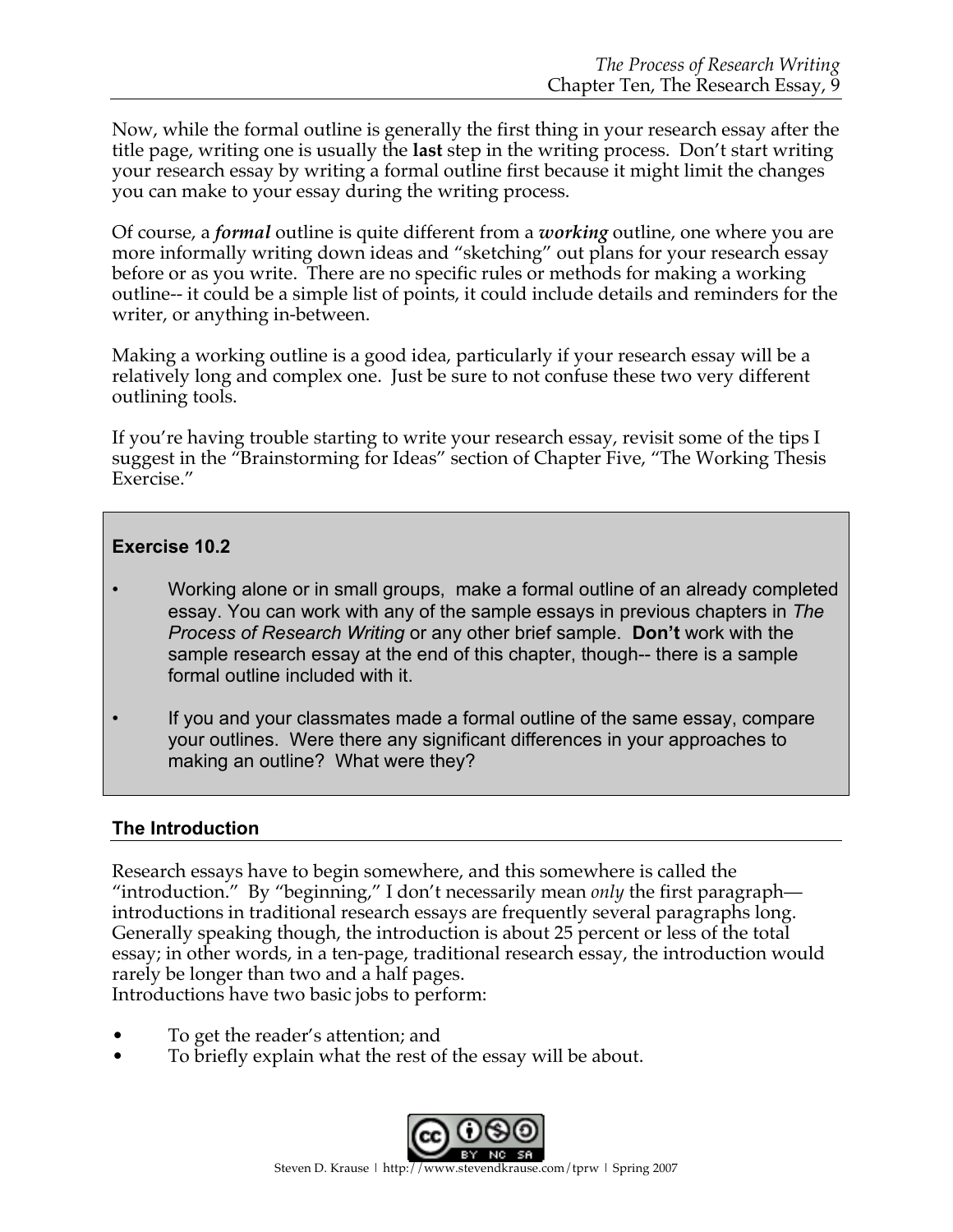Now, while the formal outline is generally the first thing in your research essay after the title page, writing one is usually the **last** step in the writing process. Don't start writing your research essay by writing a formal outline first because it might limit the changes you can make to your essay during the writing process.

Of course, a *formal* outline is quite different from a *working* outline, one where you are more informally writing down ideas and "sketching" out plans for your research essay before or as you write. There are no specific rules or methods for making a working outline-- it could be a simple list of points, it could include details and reminders for the writer, or anything in-between.

Making a working outline is a good idea, particularly if your research essay will be a relatively long and complex one. Just be sure to not confuse these two very different outlining tools.

If you're having trouble starting to write your research essay, revisit some of the tips I suggest in the "Brainstorming for Ideas" section of Chapter Five, "The Working Thesis Exercise."

## **Exercise 10.2**

- Working alone or in small groups, make a formal outline of an already completed essay. You can work with any of the sample essays in previous chapters in *The Process of Research Writing* or any other brief sample. **Don't** work with the sample research essay at the end of this chapter, though-- there is a sample formal outline included with it.
- If you and your classmates made a formal outline of the same essay, compare your outlines. Were there any significant differences in your approaches to making an outline? What were they?

## **The Introduction**

Research essays have to begin somewhere, and this somewhere is called the "introduction." By "beginning," I don't necessarily mean *only* the first paragraph introductions in traditional research essays are frequently several paragraphs long. Generally speaking though, the introduction is about 25 percent or less of the total essay; in other words, in a ten-page, traditional research essay, the introduction would rarely be longer than two and a half pages.

Introductions have two basic jobs to perform:

- To get the reader's attention; and
- To briefly explain what the rest of the essay will be about.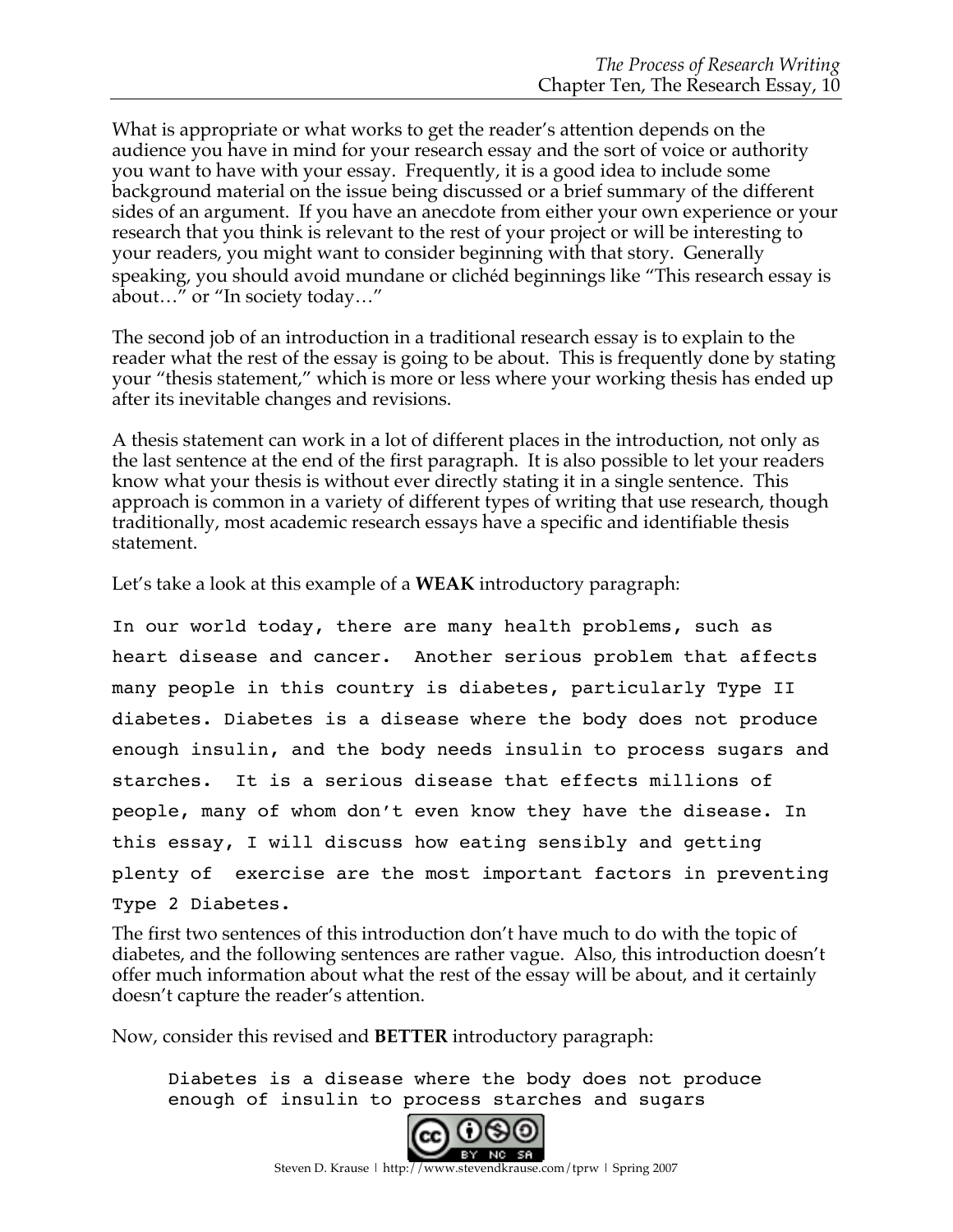What is appropriate or what works to get the reader's attention depends on the audience you have in mind for your research essay and the sort of voice or authority you want to have with your essay. Frequently, it is a good idea to include some background material on the issue being discussed or a brief summary of the different sides of an argument. If you have an anecdote from either your own experience or your research that you think is relevant to the rest of your project or will be interesting to your readers, you might want to consider beginning with that story. Generally speaking, you should avoid mundane or clichéd beginnings like "This research essay is about…" or "In society today…"

The second job of an introduction in a traditional research essay is to explain to the reader what the rest of the essay is going to be about. This is frequently done by stating your "thesis statement," which is more or less where your working thesis has ended up after its inevitable changes and revisions.

A thesis statement can work in a lot of different places in the introduction, not only as the last sentence at the end of the first paragraph. It is also possible to let your readers know what your thesis is without ever directly stating it in a single sentence. This approach is common in a variety of different types of writing that use research, though traditionally, most academic research essays have a specific and identifiable thesis statement.

Let's take a look at this example of a **WEAK** introductory paragraph:

In our world today, there are many health problems, such as heart disease and cancer. Another serious problem that affects many people in this country is diabetes, particularly Type II diabetes. Diabetes is a disease where the body does not produce enough insulin, and the body needs insulin to process sugars and starches. It is a serious disease that effects millions of people, many of whom don't even know they have the disease. In this essay, I will discuss how eating sensibly and getting plenty of exercise are the most important factors in preventing Type 2 Diabetes.

The first two sentences of this introduction don't have much to do with the topic of diabetes, and the following sentences are rather vague. Also, this introduction doesn't offer much information about what the rest of the essay will be about, and it certainly doesn't capture the reader's attention.

Now, consider this revised and **BETTER** introductory paragraph:

Diabetes is a disease where the body does not produce enough of insulin to process starches and sugars

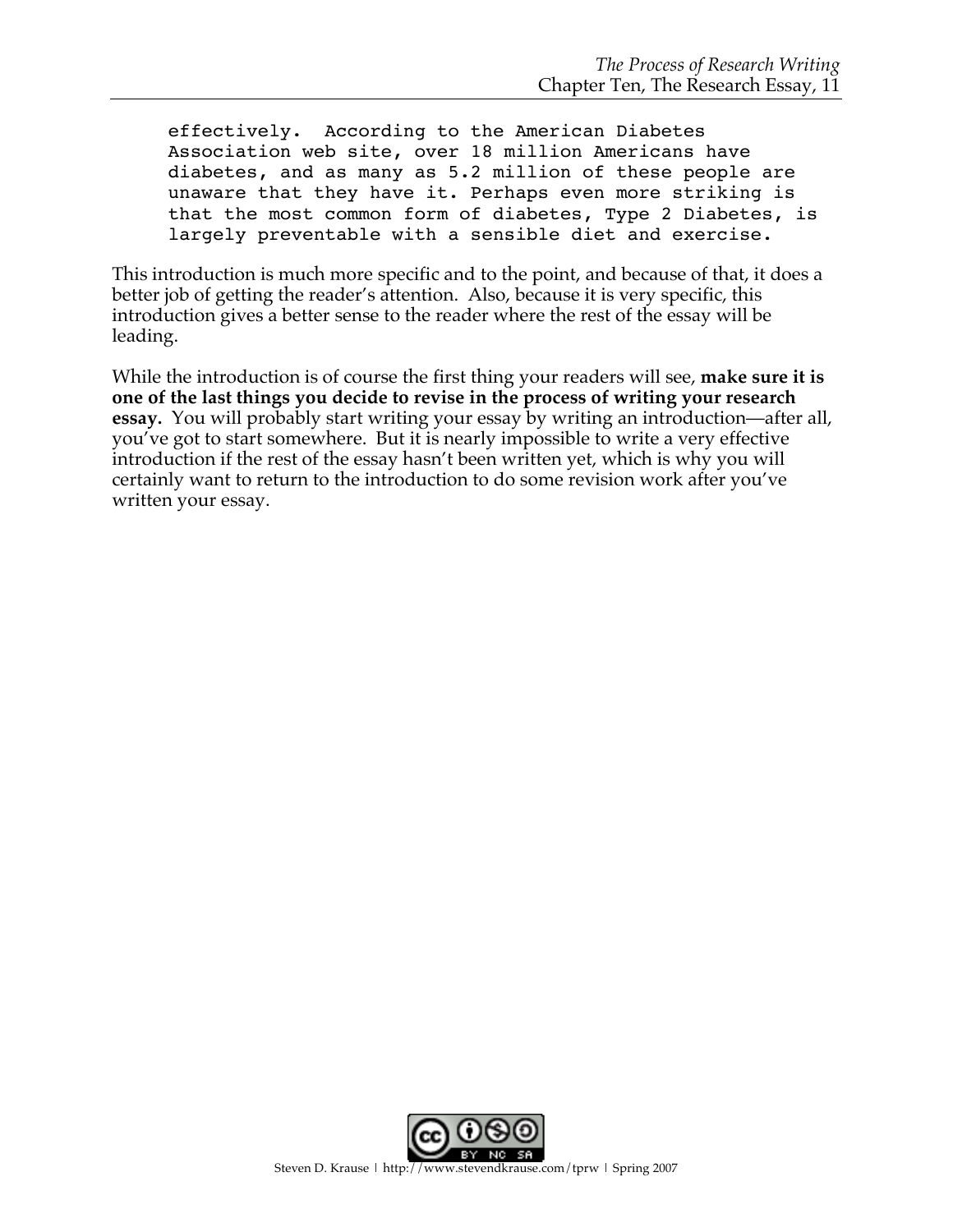effectively. According to the American Diabetes Association web site, over 18 million Americans have diabetes, and as many as 5.2 million of these people are unaware that they have it. Perhaps even more striking is that the most common form of diabetes, Type 2 Diabetes, is largely preventable with a sensible diet and exercise.

This introduction is much more specific and to the point, and because of that, it does a better job of getting the reader's attention. Also, because it is very specific, this introduction gives a better sense to the reader where the rest of the essay will be leading.

While the introduction is of course the first thing your readers will see, **make sure it is one of the last things you decide to revise in the process of writing your research essay.** You will probably start writing your essay by writing an introduction—after all, you've got to start somewhere. But it is nearly impossible to write a very effective introduction if the rest of the essay hasn't been written yet, which is why you will certainly want to return to the introduction to do some revision work after you've written your essay.

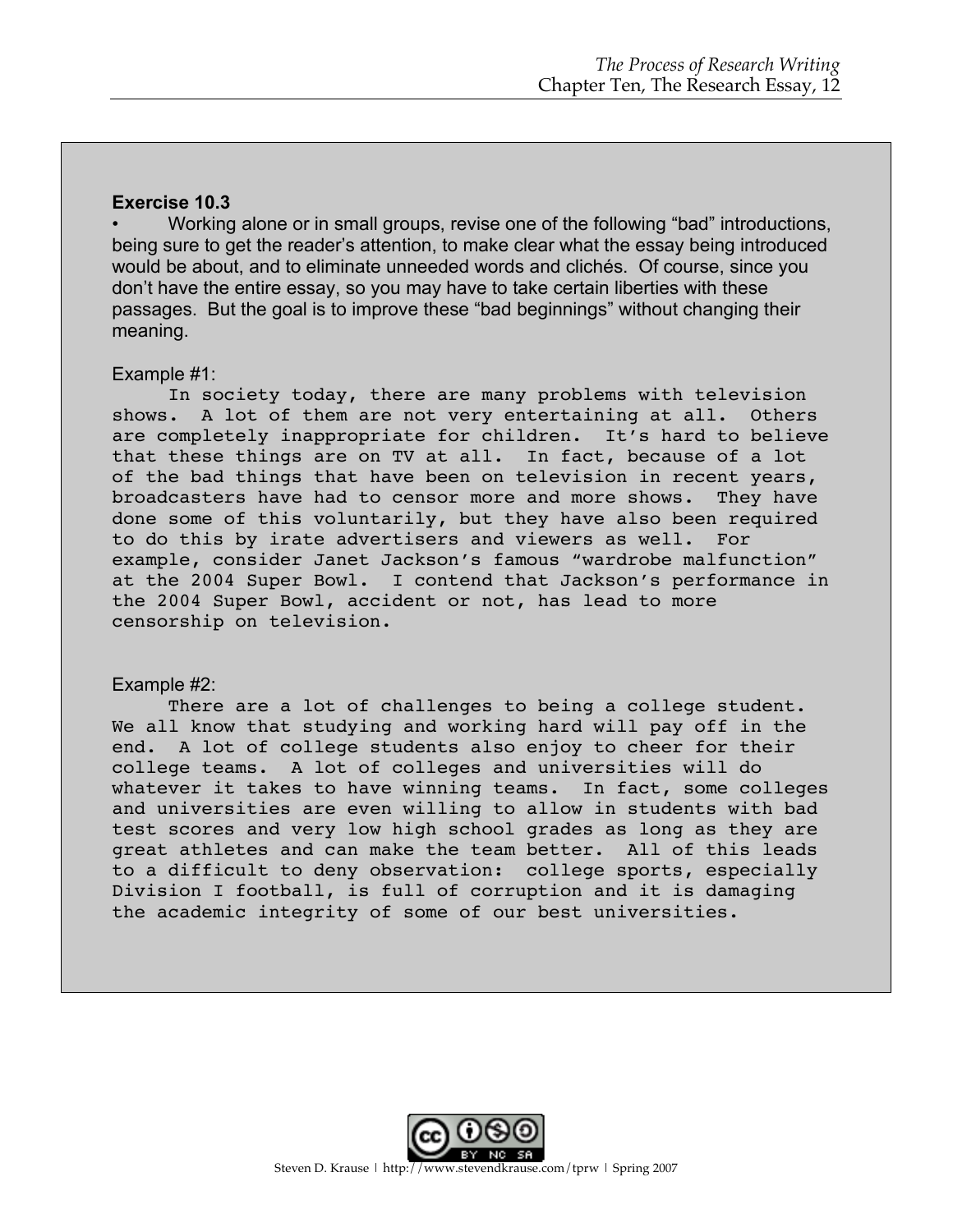#### **Exercise 10.3**

• Working alone or in small groups, revise one of the following "bad" introductions, being sure to get the reader's attention, to make clear what the essay being introduced would be about, and to eliminate unneeded words and clichés. Of course, since you don't have the entire essay, so you may have to take certain liberties with these passages. But the goal is to improve these "bad beginnings" without changing their meaning.

#### Example #1:

In society today, there are many problems with television shows. A lot of them are not very entertaining at all. Others are completely inappropriate for children. It's hard to believe that these things are on TV at all. In fact, because of a lot of the bad things that have been on television in recent years, broadcasters have had to censor more and more shows. They have done some of this voluntarily, but they have also been required to do this by irate advertisers and viewers as well. For example, consider Janet Jackson's famous "wardrobe malfunction" at the 2004 Super Bowl. I contend that Jackson's performance in the 2004 Super Bowl, accident or not, has lead to more censorship on television.

#### Example #2:

There are a lot of challenges to being a college student. We all know that studying and working hard will pay off in the end. A lot of college students also enjoy to cheer for their college teams. A lot of colleges and universities will do whatever it takes to have winning teams. In fact, some colleges and universities are even willing to allow in students with bad test scores and very low high school grades as long as they are great athletes and can make the team better. All of this leads to a difficult to deny observation: college sports, especially Division I football, is full of corruption and it is damaging the academic integrity of some of our best universities.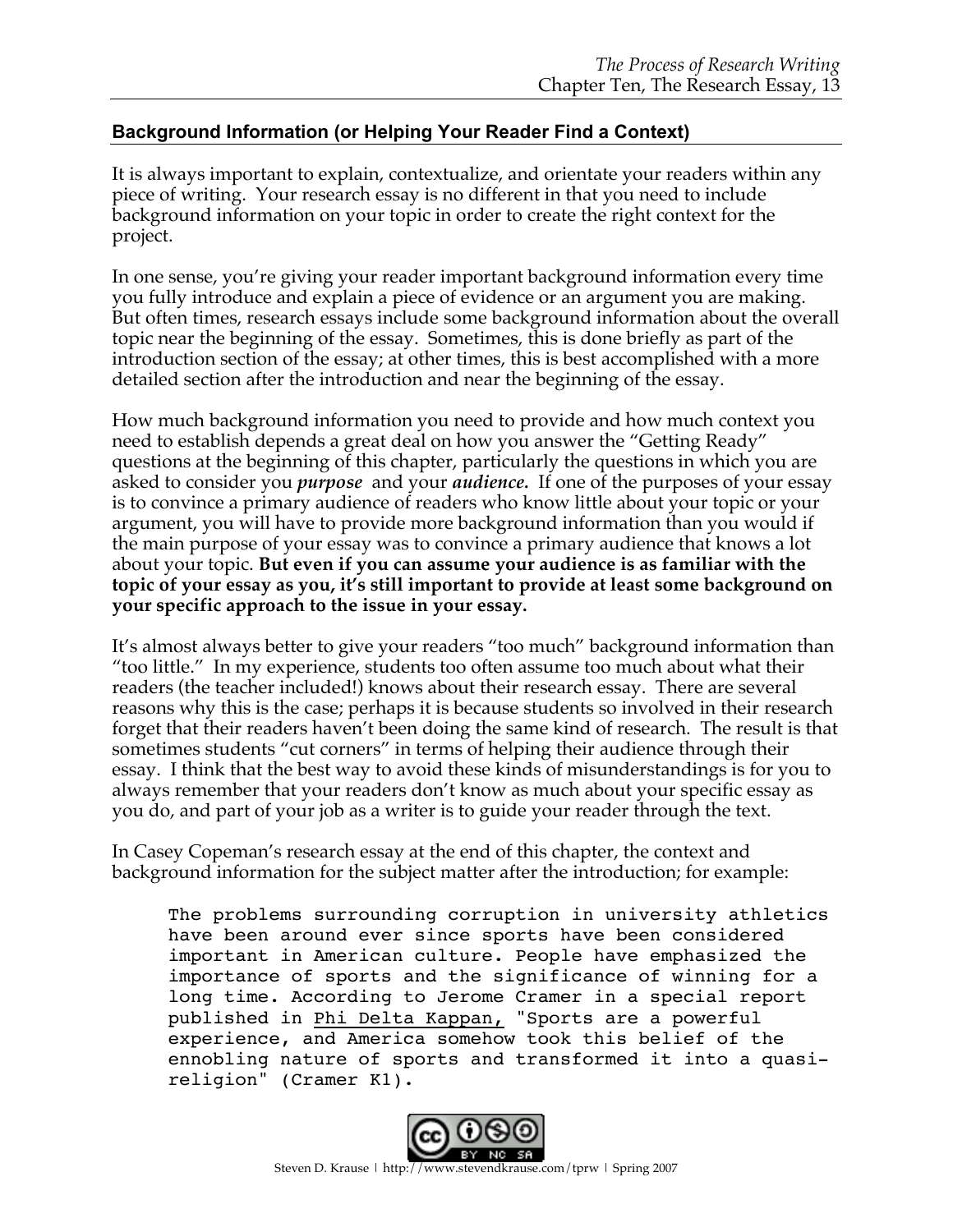## **Background Information (or Helping Your Reader Find a Context)**

It is always important to explain, contextualize, and orientate your readers within any piece of writing. Your research essay is no different in that you need to include background information on your topic in order to create the right context for the project.

In one sense, you're giving your reader important background information every time you fully introduce and explain a piece of evidence or an argument you are making. But often times, research essays include some background information about the overall topic near the beginning of the essay. Sometimes, this is done briefly as part of the introduction section of the essay; at other times, this is best accomplished with a more detailed section after the introduction and near the beginning of the essay.

How much background information you need to provide and how much context you need to establish depends a great deal on how you answer the "Getting Ready" questions at the beginning of this chapter, particularly the questions in which you are asked to consider you *purpose* and your *audience.* If one of the purposes of your essay is to convince a primary audience of readers who know little about your topic or your argument, you will have to provide more background information than you would if the main purpose of your essay was to convince a primary audience that knows a lot about your topic. **But even if you can assume your audience is as familiar with the topic of your essay as you, it's still important to provide at least some background on your specific approach to the issue in your essay.** 

It's almost always better to give your readers "too much" background information than "too little." In my experience, students too often assume too much about what their readers (the teacher included!) knows about their research essay. There are several reasons why this is the case; perhaps it is because students so involved in their research forget that their readers haven't been doing the same kind of research. The result is that sometimes students "cut corners" in terms of helping their audience through their essay. I think that the best way to avoid these kinds of misunderstandings is for you to always remember that your readers don't know as much about your specific essay as you do, and part of your job as a writer is to guide your reader through the text.

In Casey Copeman's research essay at the end of this chapter, the context and background information for the subject matter after the introduction; for example:

The problems surrounding corruption in university athletics have been around ever since sports have been considered important in American culture. People have emphasized the importance of sports and the significance of winning for a long time. According to Jerome Cramer in a special report published in Phi Delta Kappan, "Sports are a powerful experience, and America somehow took this belief of the ennobling nature of sports and transformed it into a quasireligion" (Cramer K1).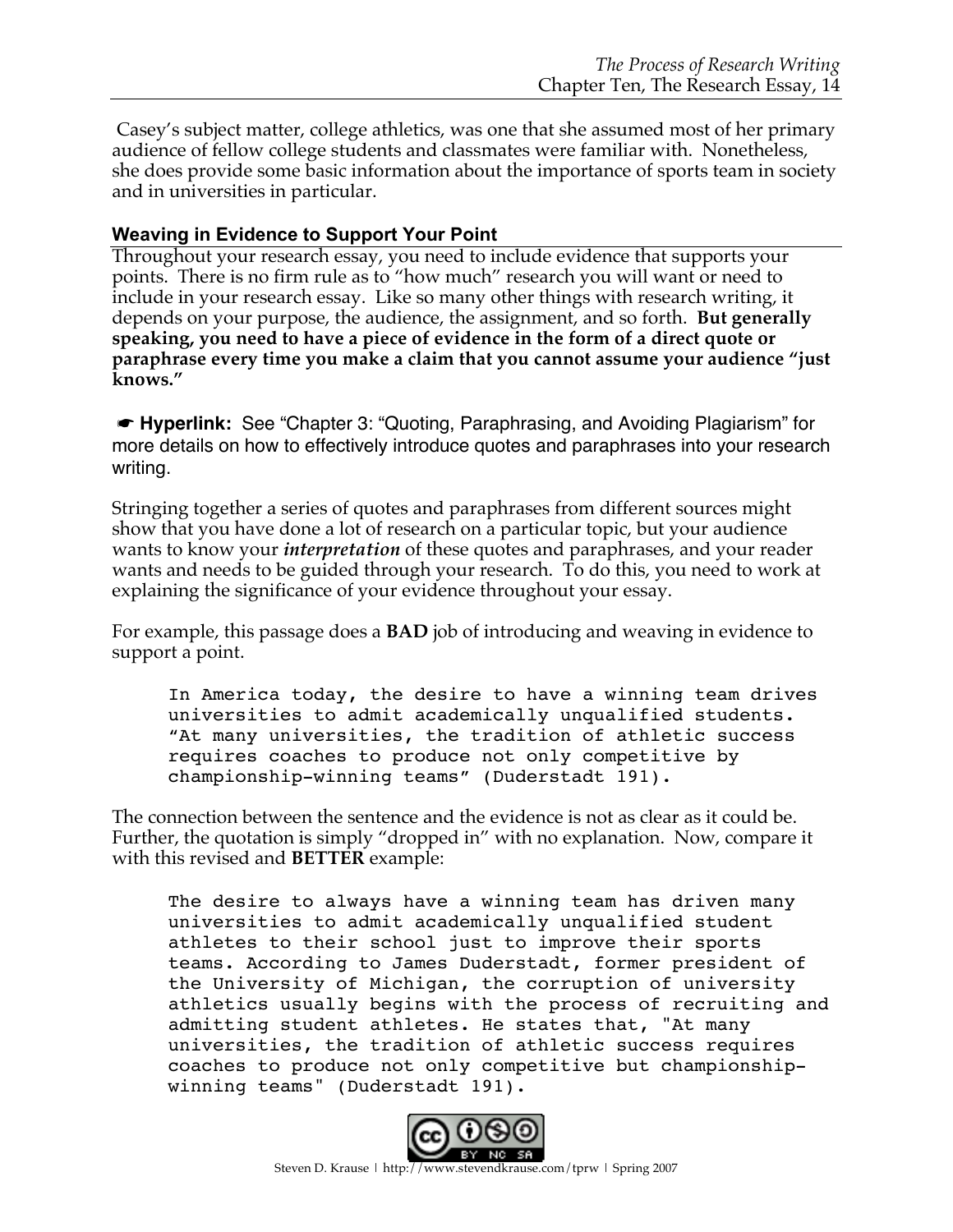Casey's subject matter, college athletics, was one that she assumed most of her primary audience of fellow college students and classmates were familiar with. Nonetheless, she does provide some basic information about the importance of sports team in society and in universities in particular.

## **Weaving in Evidence to Support Your Point**

Throughout your research essay, you need to include evidence that supports your points. There is no firm rule as to "how much" research you will want or need to include in your research essay. Like so many other things with research writing, it depends on your purpose, the audience, the assignment, and so forth. **But generally speaking, you need to have a piece of evidence in the form of a direct quote or paraphrase every time you make a claim that you cannot assume your audience "just knows."**

☛ **Hyperlink:** See "Chapter 3: "Quoting, Paraphrasing, and Avoiding Plagiarism" for more details on how to effectively introduce quotes and paraphrases into your research writing.

Stringing together a series of quotes and paraphrases from different sources might show that you have done a lot of research on a particular topic, but your audience wants to know your *interpretation* of these quotes and paraphrases, and your reader wants and needs to be guided through your research. To do this, you need to work at explaining the significance of your evidence throughout your essay.

For example, this passage does a **BAD** job of introducing and weaving in evidence to support a point.

In America today, the desire to have a winning team drives universities to admit academically unqualified students. "At many universities, the tradition of athletic success requires coaches to produce not only competitive by championship-winning teams" (Duderstadt 191).

The connection between the sentence and the evidence is not as clear as it could be. Further, the quotation is simply "dropped in" with no explanation. Now, compare it with this revised and **BETTER** example:

The desire to always have a winning team has driven many universities to admit academically unqualified student athletes to their school just to improve their sports teams. According to James Duderstadt, former president of the University of Michigan, the corruption of university athletics usually begins with the process of recruiting and admitting student athletes. He states that, "At many universities, the tradition of athletic success requires coaches to produce not only competitive but championshipwinning teams" (Duderstadt 191).

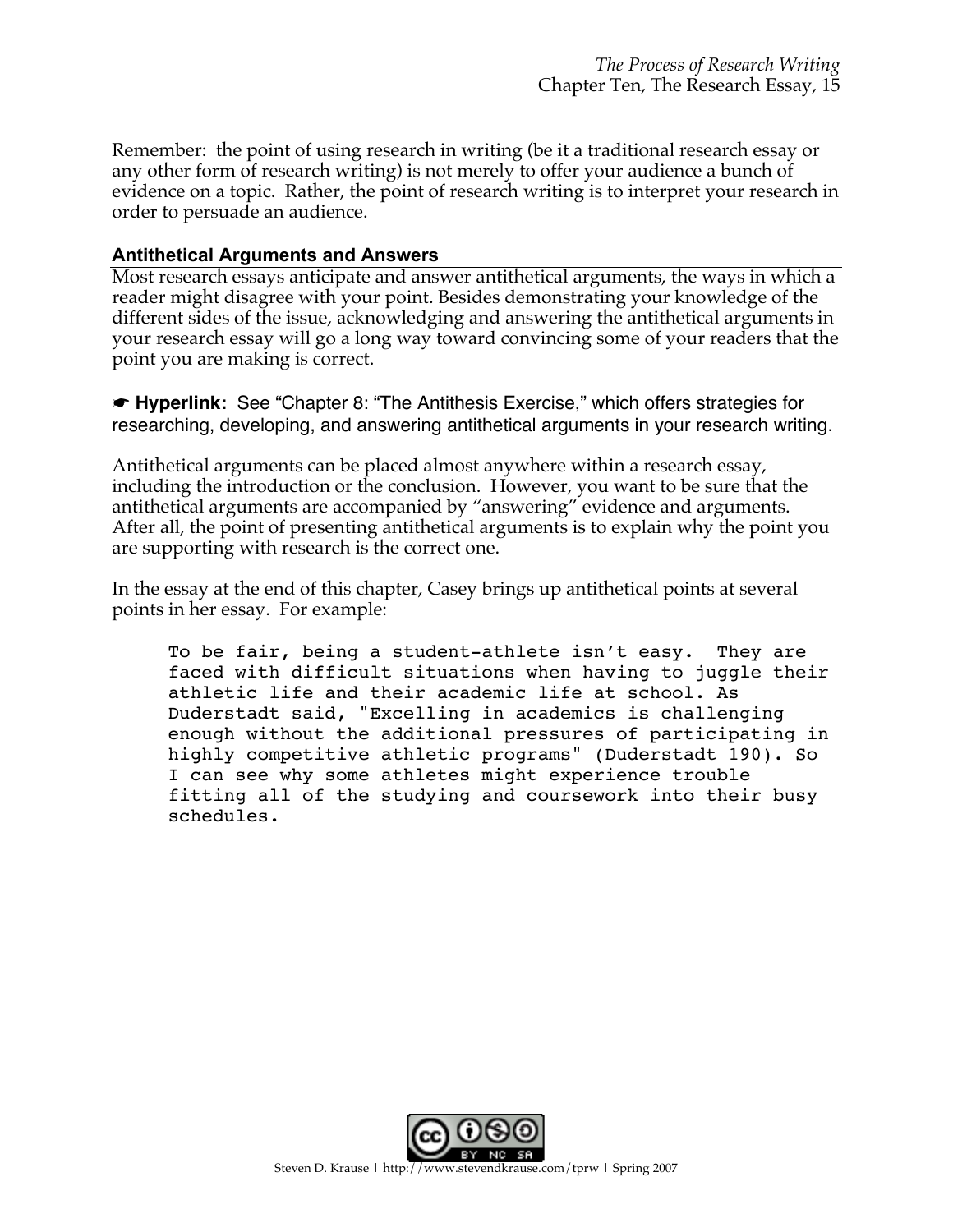Remember: the point of using research in writing (be it a traditional research essay or any other form of research writing) is not merely to offer your audience a bunch of evidence on a topic. Rather, the point of research writing is to interpret your research in order to persuade an audience.

## **Antithetical Arguments and Answers**

Most research essays anticipate and answer antithetical arguments, the ways in which a reader might disagree with your point. Besides demonstrating your knowledge of the different sides of the issue, acknowledging and answering the antithetical arguments in your research essay will go a long way toward convincing some of your readers that the point you are making is correct.

☛ **Hyperlink:** See "Chapter 8: "The Antithesis Exercise," which offers strategies for researching, developing, and answering antithetical arguments in your research writing.

Antithetical arguments can be placed almost anywhere within a research essay, including the introduction or the conclusion. However, you want to be sure that the antithetical arguments are accompanied by "answering" evidence and arguments. After all, the point of presenting antithetical arguments is to explain why the point you are supporting with research is the correct one.

In the essay at the end of this chapter, Casey brings up antithetical points at several points in her essay. For example:

To be fair, being a student-athlete isn't easy. They are faced with difficult situations when having to juggle their athletic life and their academic life at school. As Duderstadt said, "Excelling in academics is challenging enough without the additional pressures of participating in highly competitive athletic programs" (Duderstadt 190). So I can see why some athletes might experience trouble fitting all of the studying and coursework into their busy schedules.

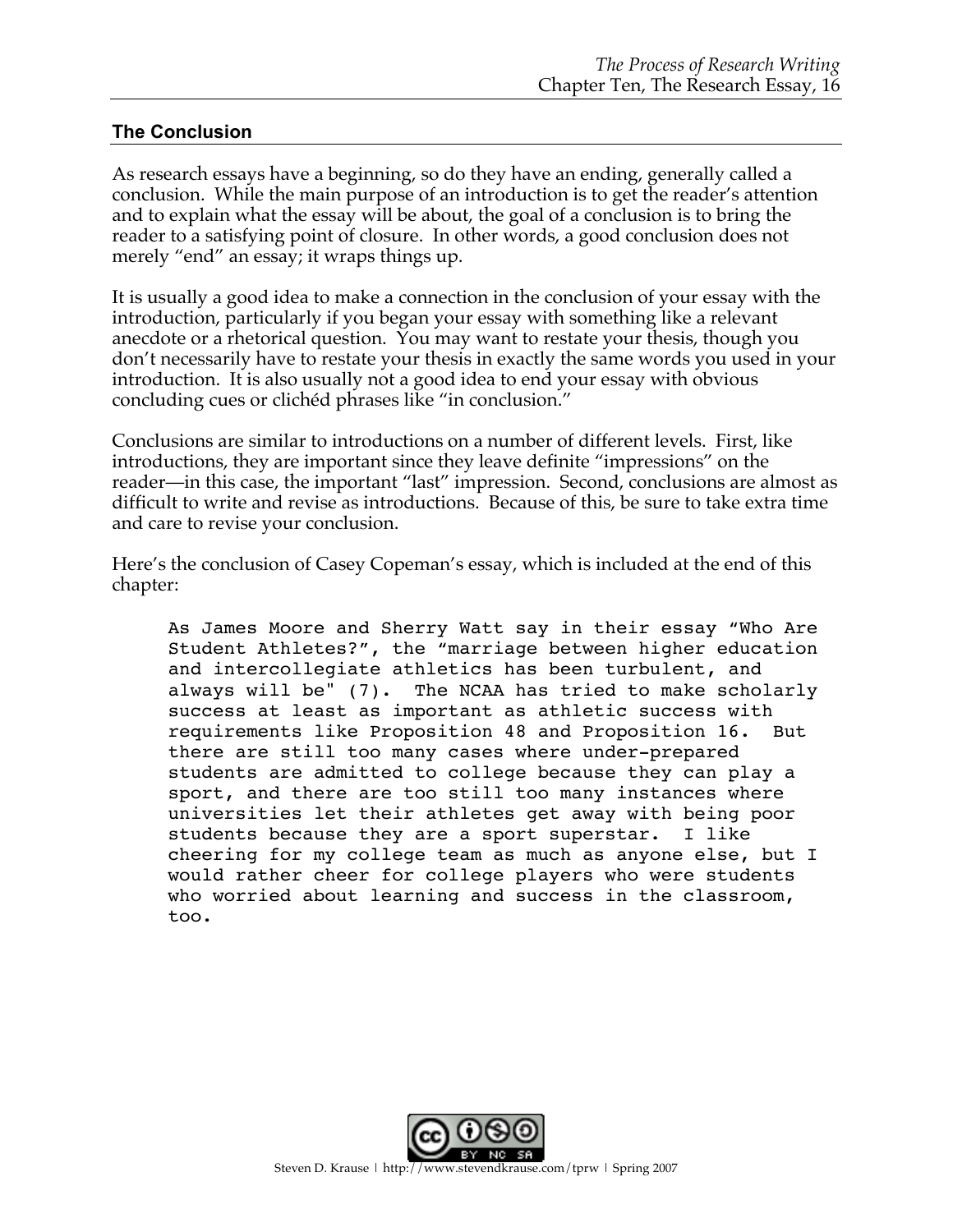### **The Conclusion**

As research essays have a beginning, so do they have an ending, generally called a conclusion. While the main purpose of an introduction is to get the reader's attention and to explain what the essay will be about, the goal of a conclusion is to bring the reader to a satisfying point of closure. In other words, a good conclusion does not merely "end" an essay; it wraps things up.

It is usually a good idea to make a connection in the conclusion of your essay with the introduction, particularly if you began your essay with something like a relevant anecdote or a rhetorical question. You may want to restate your thesis, though you don't necessarily have to restate your thesis in exactly the same words you used in your introduction. It is also usually not a good idea to end your essay with obvious concluding cues or clichéd phrases like "in conclusion."

Conclusions are similar to introductions on a number of different levels. First, like introductions, they are important since they leave definite "impressions" on the reader—in this case, the important "last" impression. Second, conclusions are almost as difficult to write and revise as introductions. Because of this, be sure to take extra time and care to revise your conclusion.

Here's the conclusion of Casey Copeman's essay, which is included at the end of this chapter:

As James Moore and Sherry Watt say in their essay "Who Are Student Athletes?", the "marriage between higher education and intercollegiate athletics has been turbulent, and always will be" (7). The NCAA has tried to make scholarly success at least as important as athletic success with requirements like Proposition 48 and Proposition 16. But there are still too many cases where under-prepared students are admitted to college because they can play a sport, and there are too still too many instances where universities let their athletes get away with being poor students because they are a sport superstar. I like cheering for my college team as much as anyone else, but I would rather cheer for college players who were students who worried about learning and success in the classroom, too.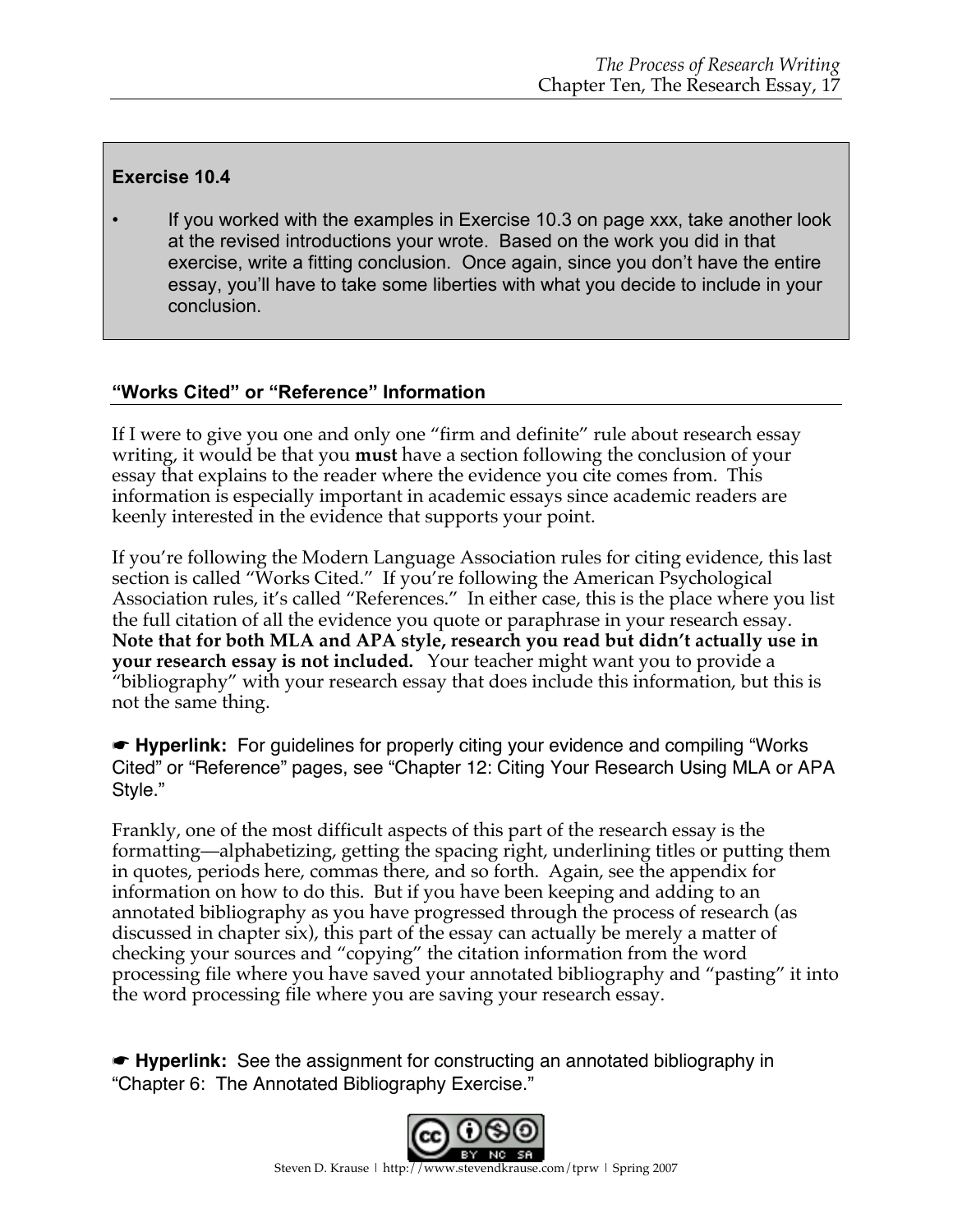## **Exercise 10.4**

If you worked with the examples in Exercise 10.3 on page xxx, take another look at the revised introductions your wrote. Based on the work you did in that exercise, write a fitting conclusion. Once again, since you don't have the entire essay, you'll have to take some liberties with what you decide to include in your conclusion.

## **"Works Cited" or "Reference" Information**

If I were to give you one and only one "firm and definite" rule about research essay writing, it would be that you **must** have a section following the conclusion of your essay that explains to the reader where the evidence you cite comes from. This information is especially important in academic essays since academic readers are keenly interested in the evidence that supports your point.

If you're following the Modern Language Association rules for citing evidence, this last section is called "Works Cited." If you're following the American Psychological Association rules, it's called "References." In either case, this is the place where you list the full citation of all the evidence you quote or paraphrase in your research essay. **Note that for both MLA and APA style, research you read but didn't actually use in your research essay is not included.** Your teacher might want you to provide a "bibliography" with your research essay that does include this information, but this is not the same thing.

☛ **Hyperlink:** For guidelines for properly citing your evidence and compiling "Works Cited" or "Reference" pages, see "Chapter 12: Citing Your Research Using MLA or APA Style."

Frankly, one of the most difficult aspects of this part of the research essay is the formatting—alphabetizing, getting the spacing right, underlining titles or putting them in quotes, periods here, commas there, and so forth. Again, see the appendix for information on how to do this. But if you have been keeping and adding to an annotated bibliography as you have progressed through the process of research (as discussed in chapter six), this part of the essay can actually be merely a matter of checking your sources and "copying" the citation information from the word processing file where you have saved your annotated bibliography and "pasting" it into the word processing file where you are saving your research essay.

☛ **Hyperlink:** See the assignment for constructing an annotated bibliography in "Chapter 6: The Annotated Bibliography Exercise."

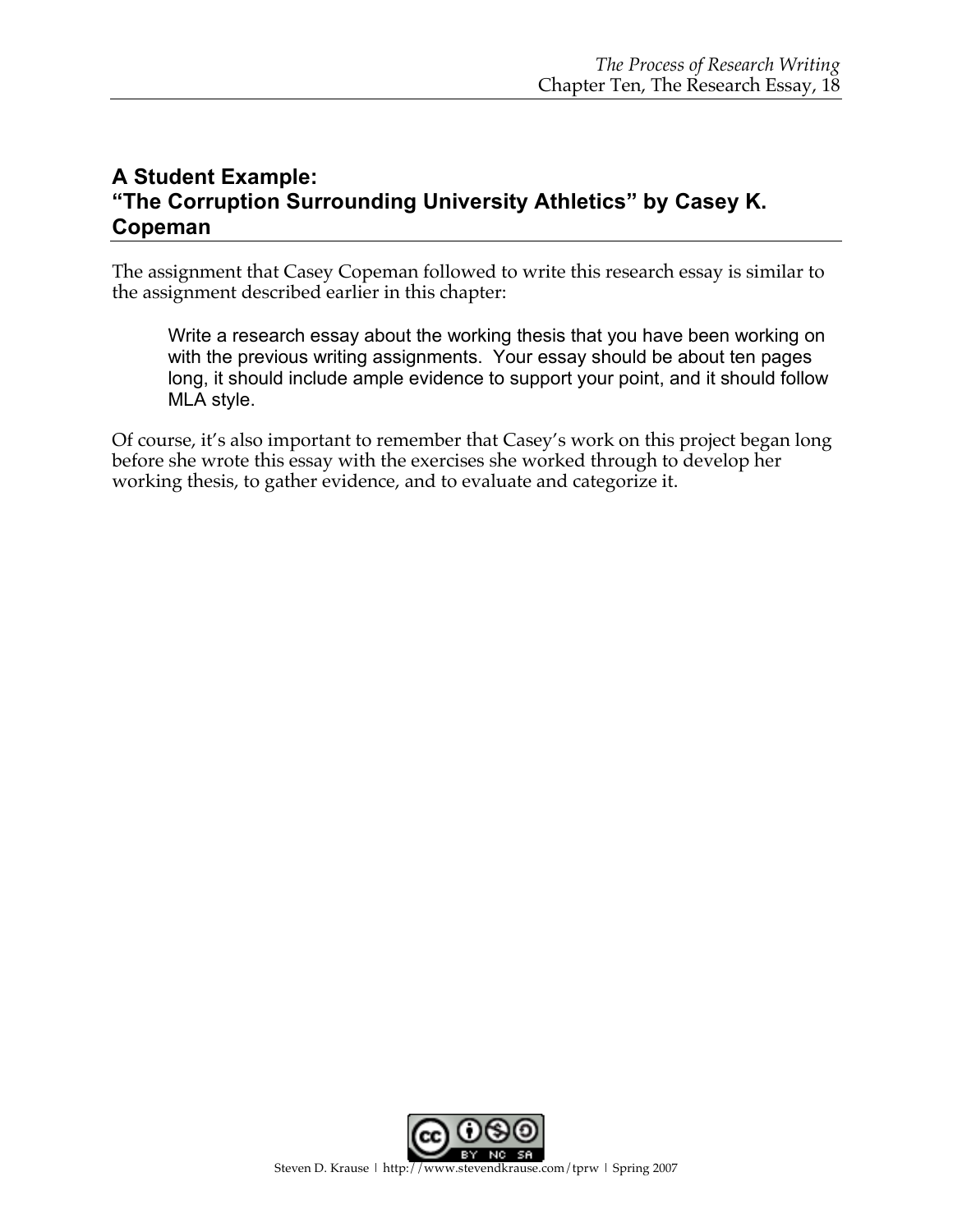## **A Student Example: "The Corruption Surrounding University Athletics" by Casey K. Copeman**

The assignment that Casey Copeman followed to write this research essay is similar to the assignment described earlier in this chapter:

Write a research essay about the working thesis that you have been working on with the previous writing assignments. Your essay should be about ten pages long, it should include ample evidence to support your point, and it should follow MLA style.

Of course, it's also important to remember that Casey's work on this project began long before she wrote this essay with the exercises she worked through to develop her working thesis, to gather evidence, and to evaluate and categorize it.

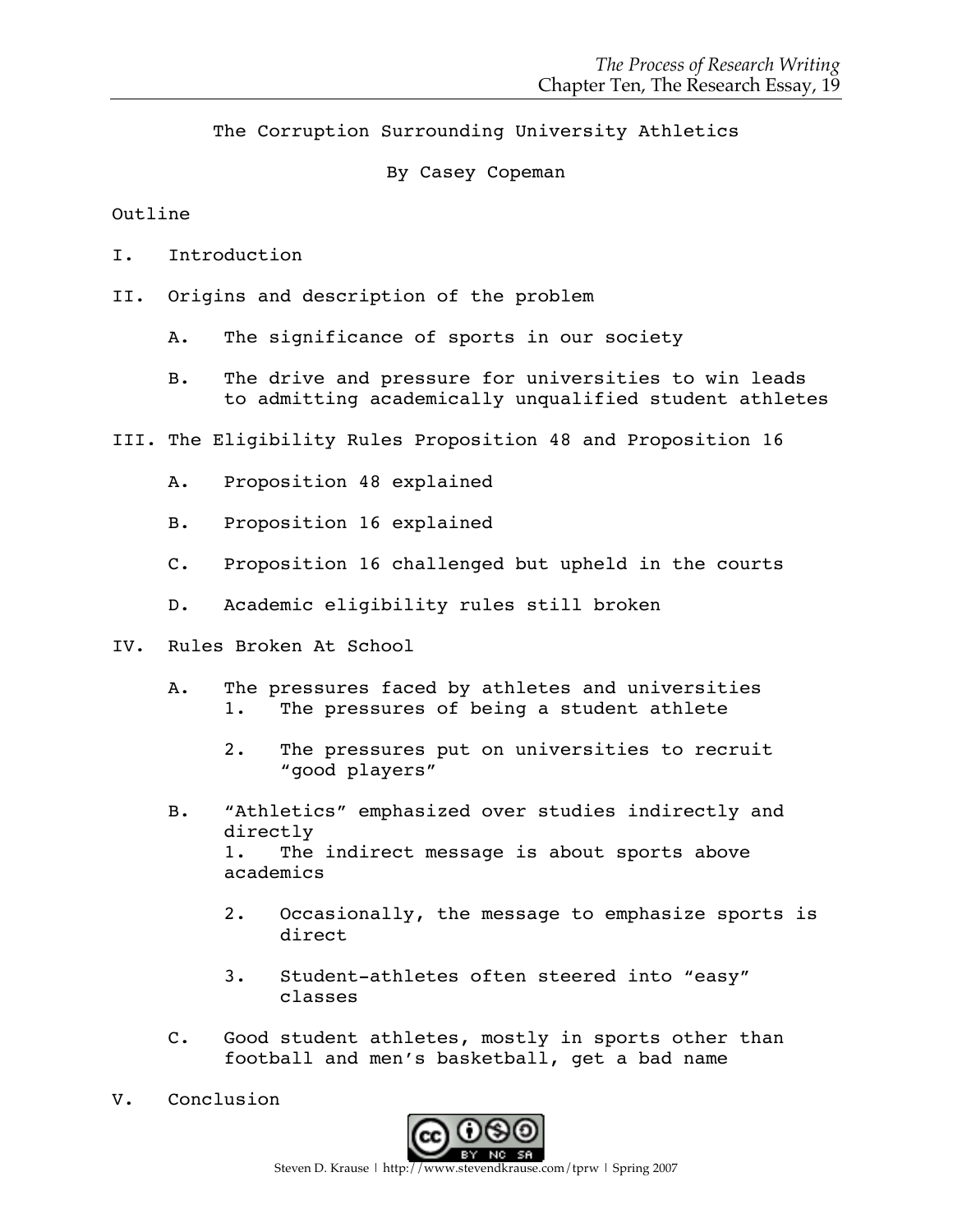The Corruption Surrounding University Athletics

By Casey Copeman

#### Outline

- I. Introduction
- II. Origins and description of the problem
	- A. The significance of sports in our society
	- B. The drive and pressure for universities to win leads to admitting academically unqualified student athletes
- III. The Eligibility Rules Proposition 48 and Proposition 16
	- A. Proposition 48 explained
	- B. Proposition 16 explained
	- C. Proposition 16 challenged but upheld in the courts
	- D. Academic eligibility rules still broken
- IV. Rules Broken At School
	- A. The pressures faced by athletes and universities 1. The pressures of being a student athlete
		- 2. The pressures put on universities to recruit "good players"
	- B. "Athletics" emphasized over studies indirectly and directly 1. The indirect message is about sports above academics
		- 2. Occasionally, the message to emphasize sports is direct
		- 3. Student-athletes often steered into "easy" classes
	- C. Good student athletes, mostly in sports other than football and men's basketball, get a bad name
- V. Conclusion

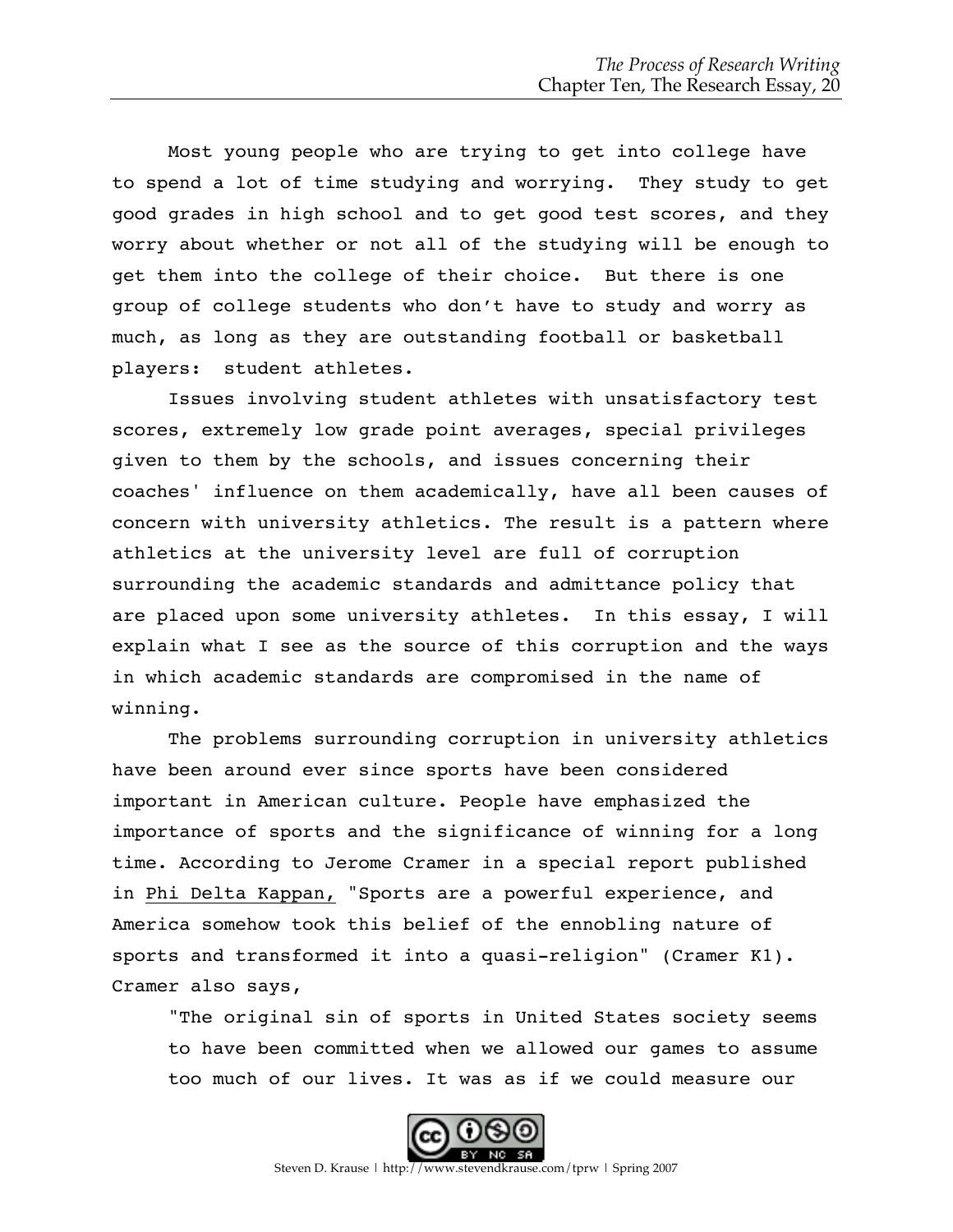Most young people who are trying to get into college have to spend a lot of time studying and worrying. They study to get good grades in high school and to get good test scores, and they worry about whether or not all of the studying will be enough to get them into the college of their choice. But there is one group of college students who don't have to study and worry as much, as long as they are outstanding football or basketball players: student athletes.

Issues involving student athletes with unsatisfactory test scores, extremely low grade point averages, special privileges given to them by the schools, and issues concerning their coaches' influence on them academically, have all been causes of concern with university athletics. The result is a pattern where athletics at the university level are full of corruption surrounding the academic standards and admittance policy that are placed upon some university athletes. In this essay, I will explain what I see as the source of this corruption and the ways in which academic standards are compromised in the name of winning.

The problems surrounding corruption in university athletics have been around ever since sports have been considered important in American culture. People have emphasized the importance of sports and the significance of winning for a long time. According to Jerome Cramer in a special report published in Phi Delta Kappan, "Sports are a powerful experience, and America somehow took this belief of the ennobling nature of sports and transformed it into a quasi-religion" (Cramer K1). Cramer also says,

"The original sin of sports in United States society seems to have been committed when we allowed our games to assume too much of our lives. It was as if we could measure our

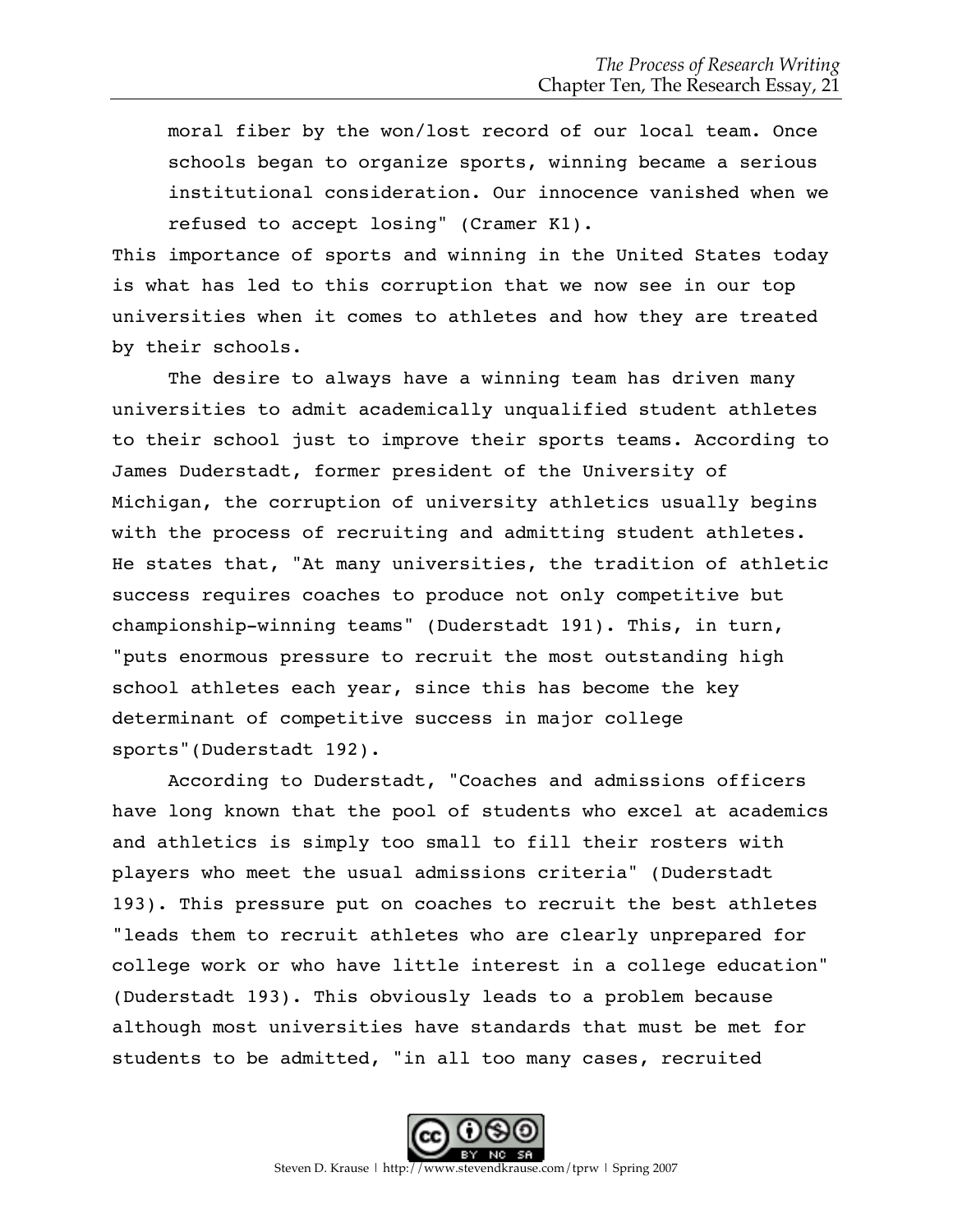moral fiber by the won/lost record of our local team. Once schools began to organize sports, winning became a serious institutional consideration. Our innocence vanished when we refused to accept losing" (Cramer K1).

This importance of sports and winning in the United States today is what has led to this corruption that we now see in our top universities when it comes to athletes and how they are treated by their schools.

The desire to always have a winning team has driven many universities to admit academically unqualified student athletes to their school just to improve their sports teams. According to James Duderstadt, former president of the University of Michigan, the corruption of university athletics usually begins with the process of recruiting and admitting student athletes. He states that, "At many universities, the tradition of athletic success requires coaches to produce not only competitive but championship-winning teams" (Duderstadt 191). This, in turn, "puts enormous pressure to recruit the most outstanding high school athletes each year, since this has become the key determinant of competitive success in major college sports"(Duderstadt 192).

According to Duderstadt, "Coaches and admissions officers have long known that the pool of students who excel at academics and athletics is simply too small to fill their rosters with players who meet the usual admissions criteria" (Duderstadt 193). This pressure put on coaches to recruit the best athletes "leads them to recruit athletes who are clearly unprepared for college work or who have little interest in a college education" (Duderstadt 193). This obviously leads to a problem because although most universities have standards that must be met for students to be admitted, "in all too many cases, recruited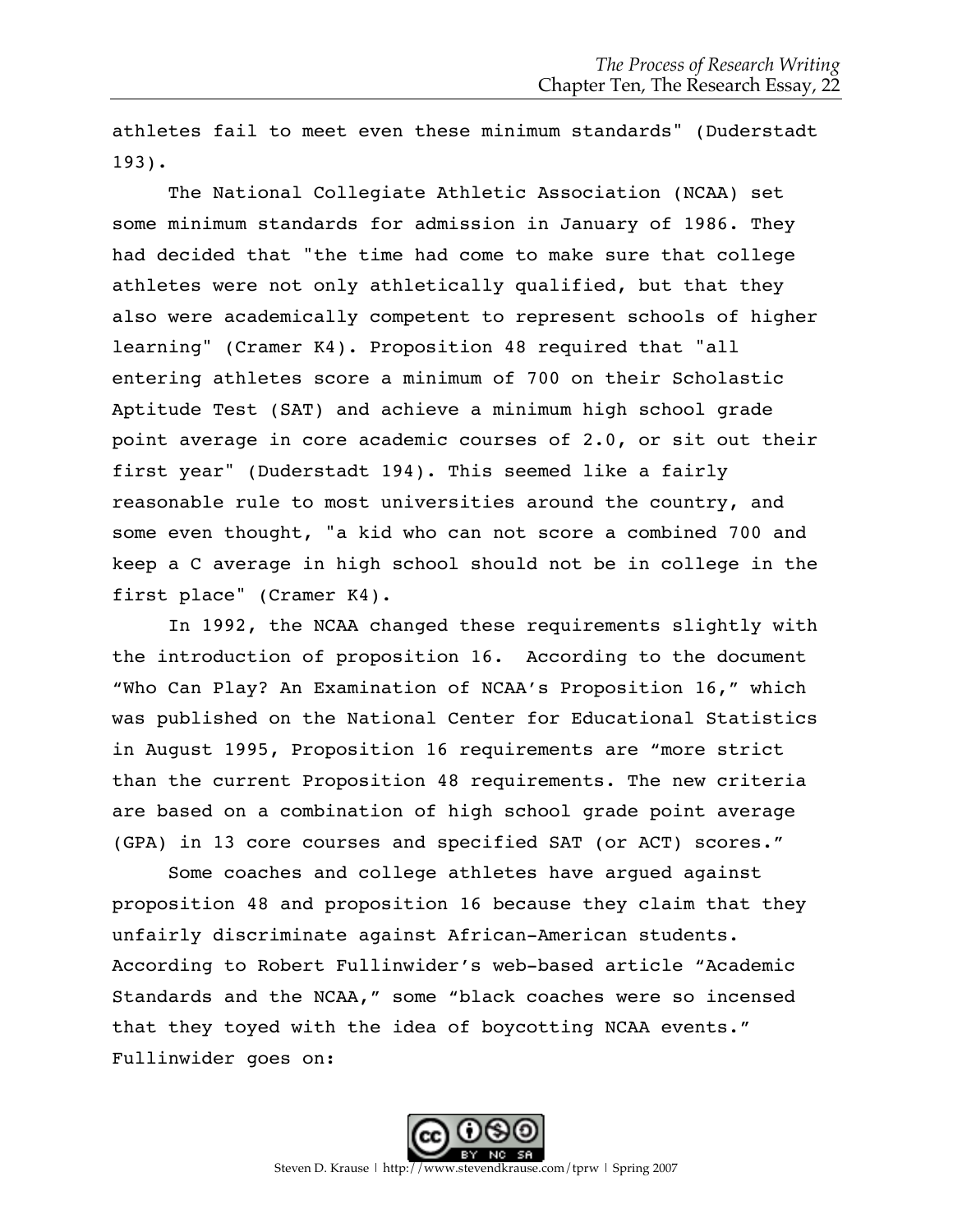athletes fail to meet even these minimum standards" (Duderstadt 193).

The National Collegiate Athletic Association (NCAA) set some minimum standards for admission in January of 1986. They had decided that "the time had come to make sure that college athletes were not only athletically qualified, but that they also were academically competent to represent schools of higher learning" (Cramer K4). Proposition 48 required that "all entering athletes score a minimum of 700 on their Scholastic Aptitude Test (SAT) and achieve a minimum high school grade point average in core academic courses of 2.0, or sit out their first year" (Duderstadt 194). This seemed like a fairly reasonable rule to most universities around the country, and some even thought, "a kid who can not score a combined 700 and keep a C average in high school should not be in college in the first place" (Cramer K4).

In 1992, the NCAA changed these requirements slightly with the introduction of proposition 16. According to the document "Who Can Play? An Examination of NCAA's Proposition 16," which was published on the National Center for Educational Statistics in August 1995, Proposition 16 requirements are "more strict than the current Proposition 48 requirements. The new criteria are based on a combination of high school grade point average (GPA) in 13 core courses and specified SAT (or ACT) scores."

Some coaches and college athletes have argued against proposition 48 and proposition 16 because they claim that they unfairly discriminate against African-American students. According to Robert Fullinwider's web-based article "Academic Standards and the NCAA," some "black coaches were so incensed that they toyed with the idea of boycotting NCAA events." Fullinwider goes on: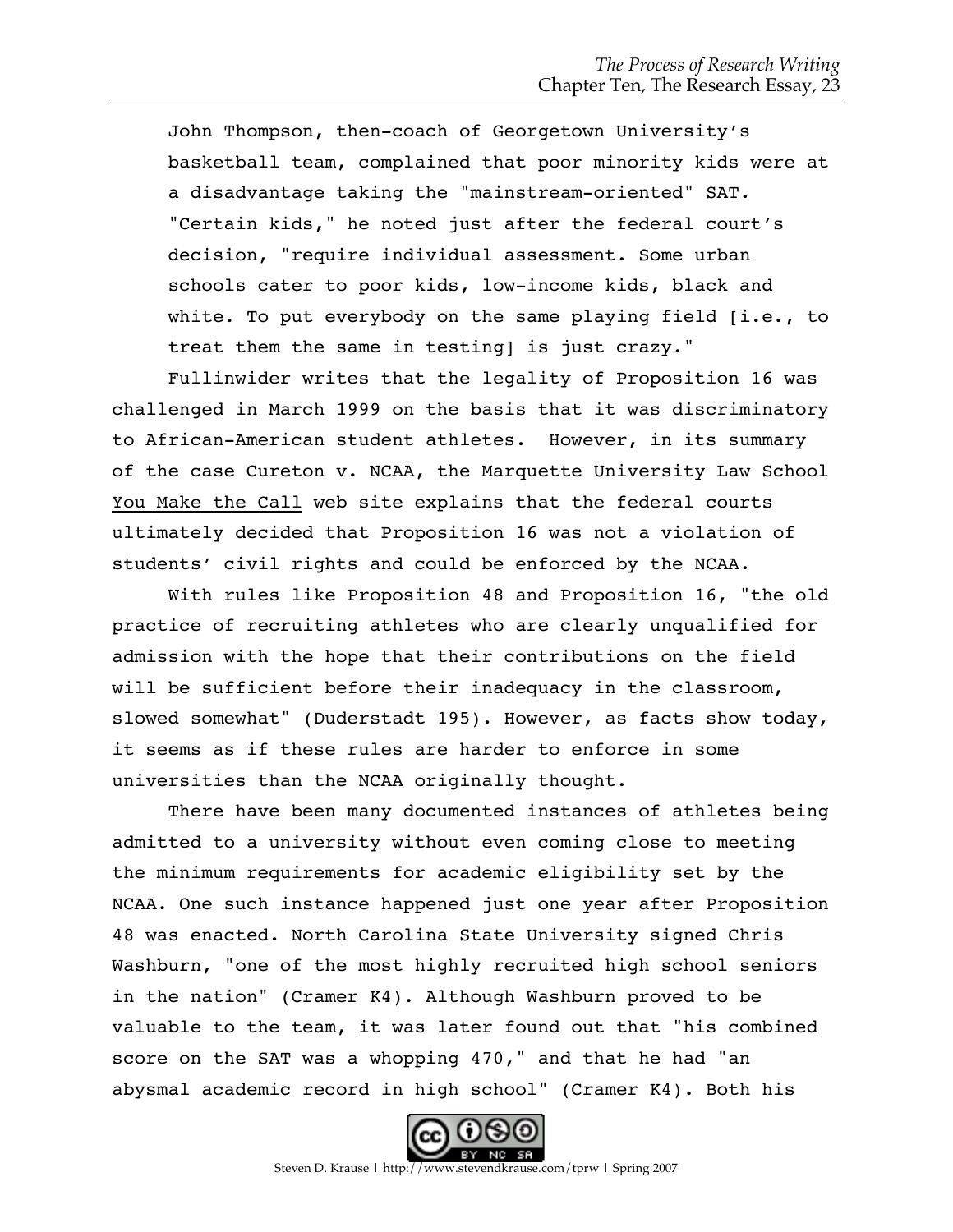John Thompson, then-coach of Georgetown University's basketball team, complained that poor minority kids were at a disadvantage taking the "mainstream-oriented" SAT. "Certain kids," he noted just after the federal court's decision, "require individual assessment. Some urban schools cater to poor kids, low-income kids, black and white. To put everybody on the same playing field [i.e., to treat them the same in testing] is just crazy."

Fullinwider writes that the legality of Proposition 16 was challenged in March 1999 on the basis that it was discriminatory to African-American student athletes. However, in its summary of the case Cureton v. NCAA, the Marquette University Law School You Make the Call web site explains that the federal courts ultimately decided that Proposition 16 was not a violation of students' civil rights and could be enforced by the NCAA.

With rules like Proposition 48 and Proposition 16, "the old practice of recruiting athletes who are clearly unqualified for admission with the hope that their contributions on the field will be sufficient before their inadequacy in the classroom, slowed somewhat" (Duderstadt 195). However, as facts show today, it seems as if these rules are harder to enforce in some universities than the NCAA originally thought.

There have been many documented instances of athletes being admitted to a university without even coming close to meeting the minimum requirements for academic eligibility set by the NCAA. One such instance happened just one year after Proposition 48 was enacted. North Carolina State University signed Chris Washburn, "one of the most highly recruited high school seniors in the nation" (Cramer K4). Although Washburn proved to be valuable to the team, it was later found out that "his combined score on the SAT was a whopping 470," and that he had "an abysmal academic record in high school" (Cramer K4). Both his

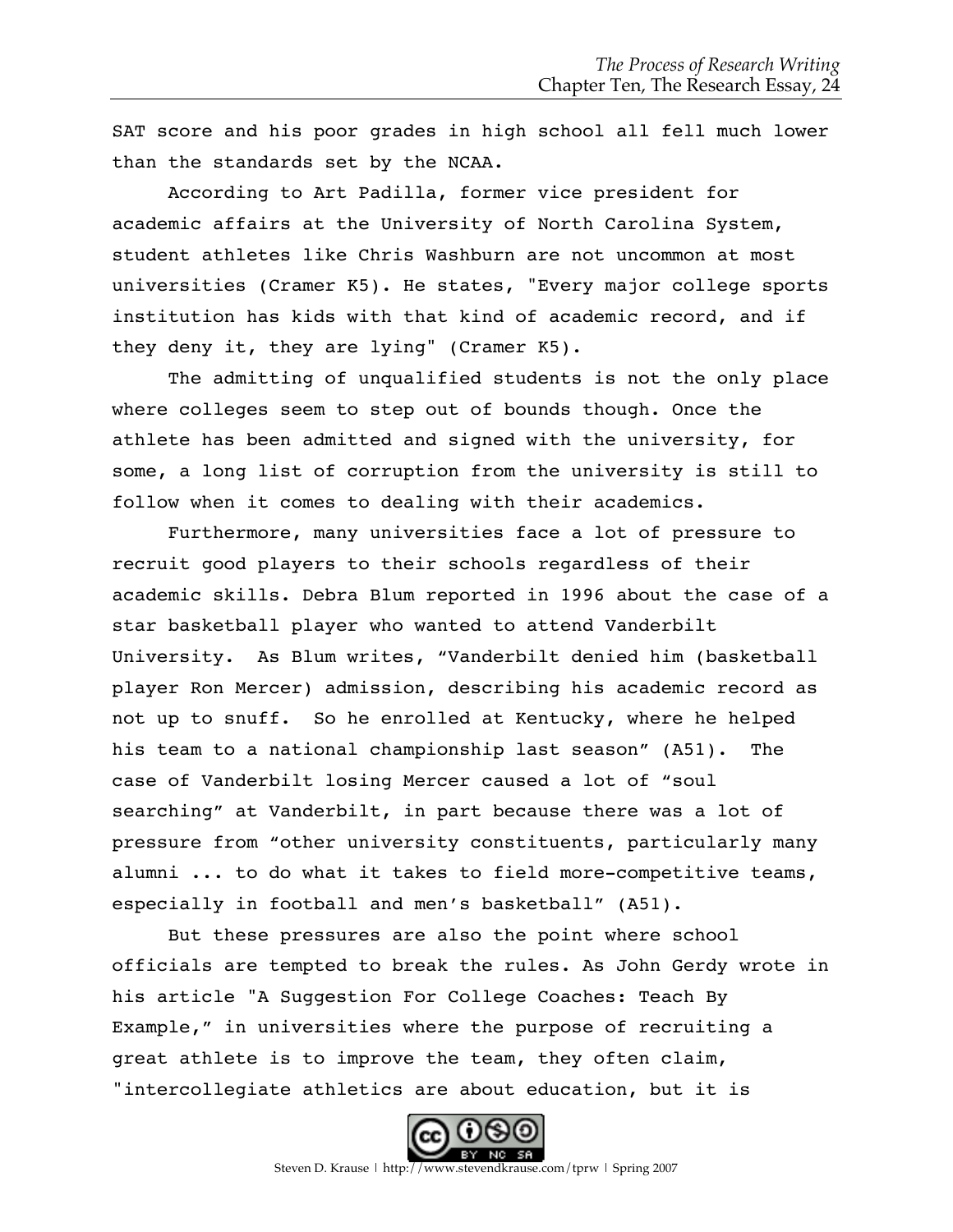SAT score and his poor grades in high school all fell much lower than the standards set by the NCAA.

According to Art Padilla, former vice president for academic affairs at the University of North Carolina System, student athletes like Chris Washburn are not uncommon at most universities (Cramer K5). He states, "Every major college sports institution has kids with that kind of academic record, and if they deny it, they are lying" (Cramer K5).

The admitting of unqualified students is not the only place where colleges seem to step out of bounds though. Once the athlete has been admitted and signed with the university, for some, a long list of corruption from the university is still to follow when it comes to dealing with their academics.

Furthermore, many universities face a lot of pressure to recruit good players to their schools regardless of their academic skills. Debra Blum reported in 1996 about the case of a star basketball player who wanted to attend Vanderbilt University. As Blum writes, "Vanderbilt denied him (basketball player Ron Mercer) admission, describing his academic record as not up to snuff. So he enrolled at Kentucky, where he helped his team to a national championship last season" (A51). The case of Vanderbilt losing Mercer caused a lot of "soul searching" at Vanderbilt, in part because there was a lot of pressure from "other university constituents, particularly many alumni ... to do what it takes to field more-competitive teams, especially in football and men's basketball" (A51).

But these pressures are also the point where school officials are tempted to break the rules. As John Gerdy wrote in his article "A Suggestion For College Coaches: Teach By Example," in universities where the purpose of recruiting a great athlete is to improve the team, they often claim, "intercollegiate athletics are about education, but it is

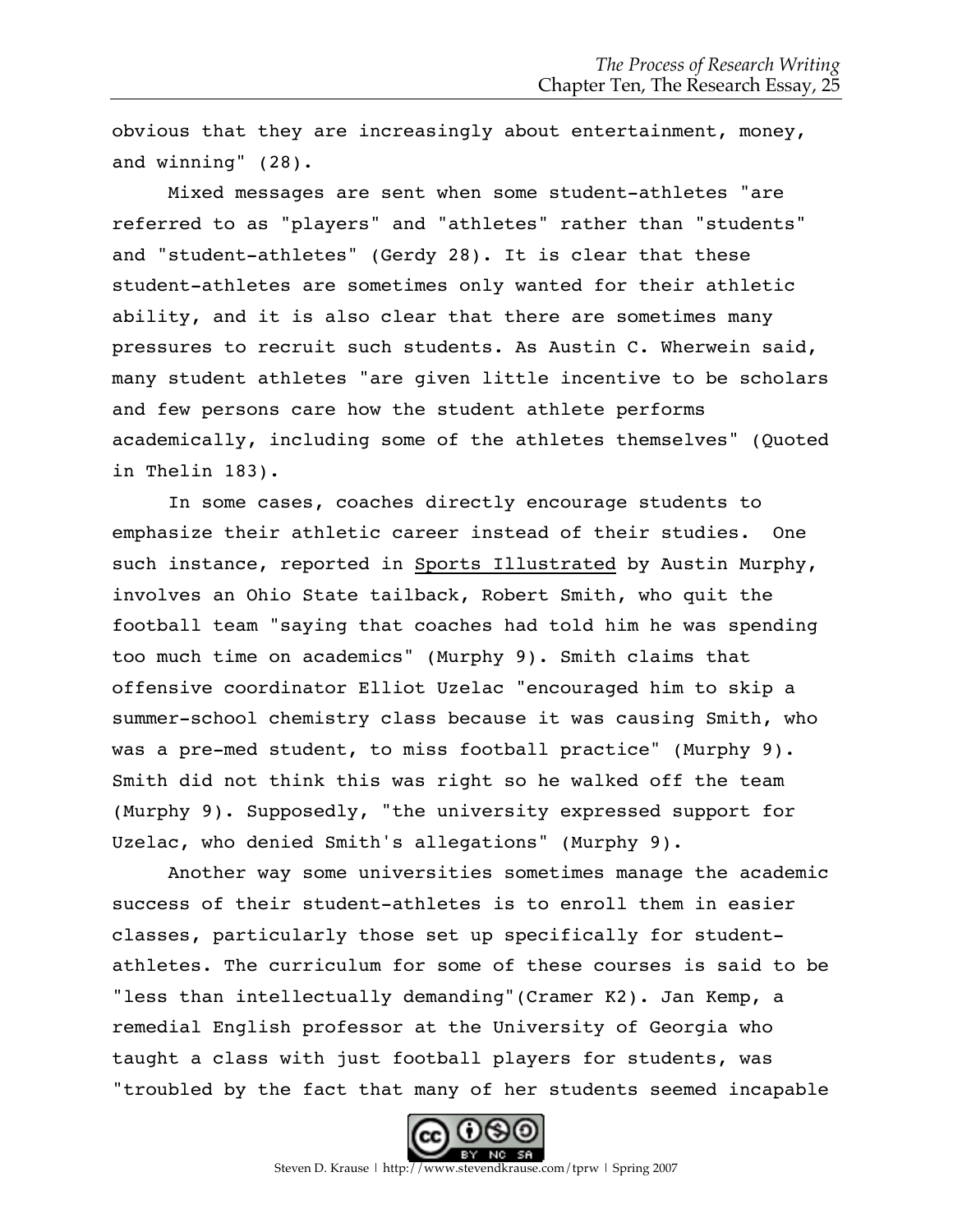obvious that they are increasingly about entertainment, money, and winning" (28).

Mixed messages are sent when some student-athletes "are referred to as "players" and "athletes" rather than "students" and "student-athletes" (Gerdy 28). It is clear that these student-athletes are sometimes only wanted for their athletic ability, and it is also clear that there are sometimes many pressures to recruit such students. As Austin C. Wherwein said, many student athletes "are given little incentive to be scholars and few persons care how the student athlete performs academically, including some of the athletes themselves" (Quoted in Thelin 183).

In some cases, coaches directly encourage students to emphasize their athletic career instead of their studies. One such instance, reported in Sports Illustrated by Austin Murphy, involves an Ohio State tailback, Robert Smith, who quit the football team "saying that coaches had told him he was spending too much time on academics" (Murphy 9). Smith claims that offensive coordinator Elliot Uzelac "encouraged him to skip a summer-school chemistry class because it was causing Smith, who was a pre-med student, to miss football practice" (Murphy 9). Smith did not think this was right so he walked off the team (Murphy 9). Supposedly, "the university expressed support for Uzelac, who denied Smith's allegations" (Murphy 9).

Another way some universities sometimes manage the academic success of their student-athletes is to enroll them in easier classes, particularly those set up specifically for studentathletes. The curriculum for some of these courses is said to be "less than intellectually demanding" (Cramer K2). Jan Kemp, a remedial English professor at the University of Georgia who taught a class with just football players for students, was "troubled by the fact that many of her students seemed incapable

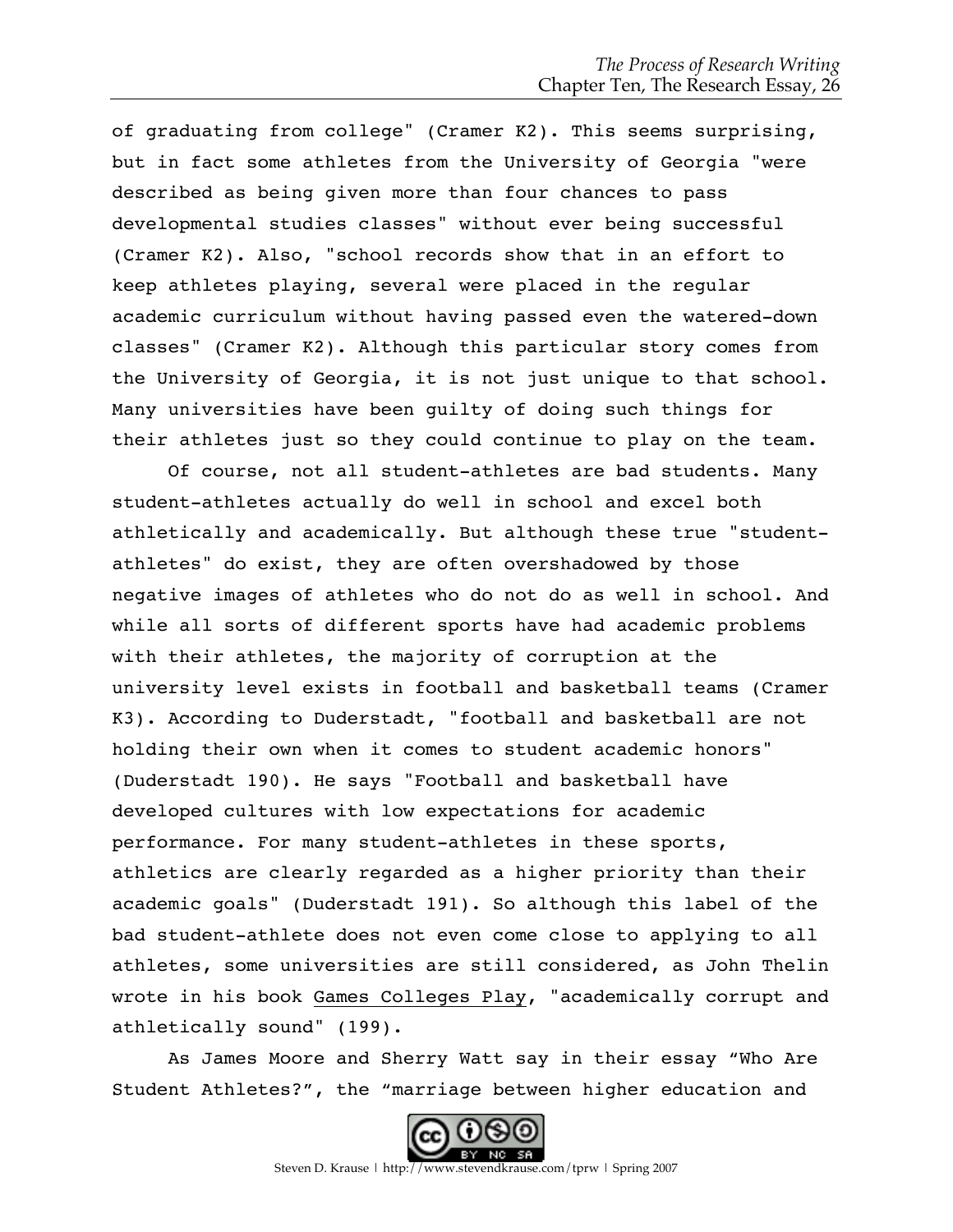of graduating from college" (Cramer K2). This seems surprising, but in fact some athletes from the University of Georgia "were described as being given more than four chances to pass developmental studies classes" without ever being successful (Cramer K2). Also, "school records show that in an effort to keep athletes playing, several were placed in the regular academic curriculum without having passed even the watered-down classes" (Cramer K2). Although this particular story comes from the University of Georgia, it is not just unique to that school. Many universities have been guilty of doing such things for their athletes just so they could continue to play on the team.

Of course, not all student-athletes are bad students. Many student-athletes actually do well in school and excel both athletically and academically. But although these true "studentathletes" do exist, they are often overshadowed by those negative images of athletes who do not do as well in school. And while all sorts of different sports have had academic problems with their athletes, the majority of corruption at the university level exists in football and basketball teams (Cramer K3). According to Duderstadt, "football and basketball are not holding their own when it comes to student academic honors" (Duderstadt 190). He says "Football and basketball have developed cultures with low expectations for academic performance. For many student-athletes in these sports, athletics are clearly regarded as a higher priority than their academic goals" (Duderstadt 191). So although this label of the bad student-athlete does not even come close to applying to all athletes, some universities are still considered, as John Thelin wrote in his book Games Colleges Play, "academically corrupt and athletically sound" (199).

As James Moore and Sherry Watt say in their essay "Who Are Student Athletes?", the "marriage between higher education and

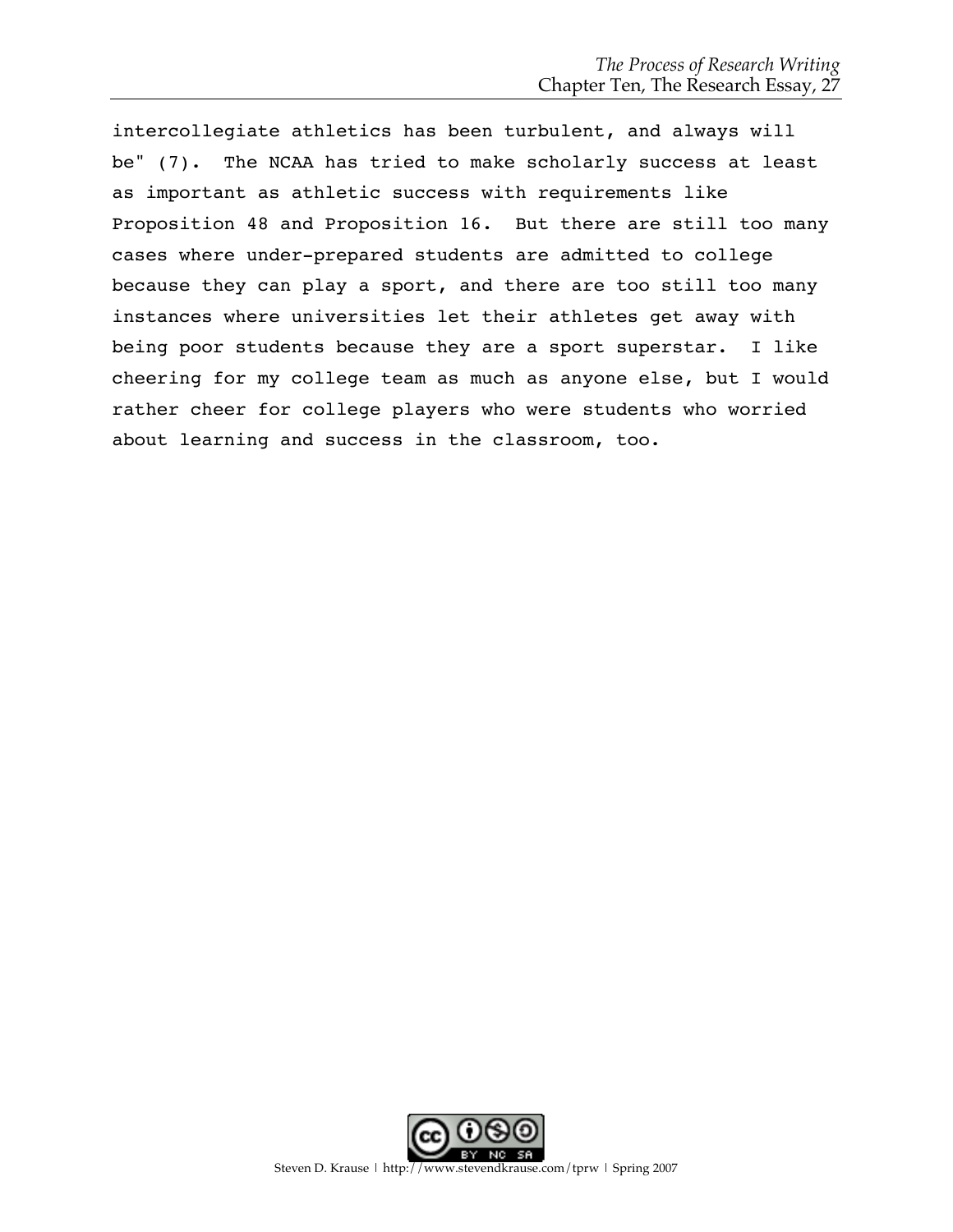intercollegiate athletics has been turbulent, and always will be" (7). The NCAA has tried to make scholarly success at least as important as athletic success with requirements like Proposition 48 and Proposition 16. But there are still too many cases where under-prepared students are admitted to college because they can play a sport, and there are too still too many instances where universities let their athletes get away with being poor students because they are a sport superstar. I like cheering for my college team as much as anyone else, but I would rather cheer for college players who were students who worried about learning and success in the classroom, too.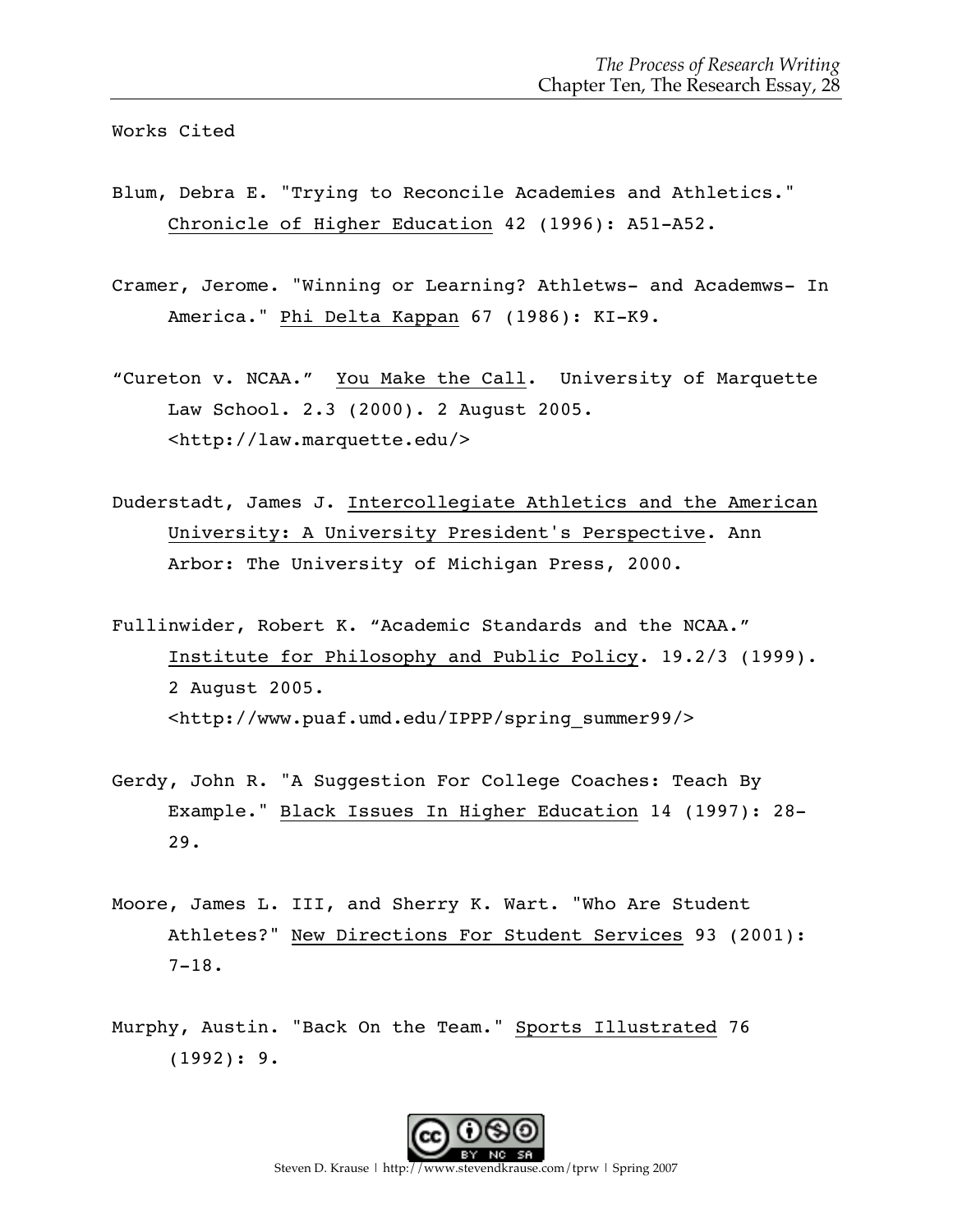Works Cited

- Blum, Debra E. "Trying to Reconcile Academies and Athletics." Chronicle of Higher Education 42 (1996): A51-A52.
- Cramer, Jerome. "Winning or Learning? Athletws- and Academws- In America." Phi Delta Kappan 67 (1986): KI-K9.
- "Cureton v. NCAA." You Make the Call. University of Marquette Law School. 2.3 (2000). 2 August 2005. <http://law.marquette.edu/>
- Duderstadt, James J. Intercollegiate Athletics and the American University: A University President's Perspective. Ann Arbor: The University of Michigan Press, 2000.
- Fullinwider, Robert K. "Academic Standards and the NCAA." Institute for Philosophy and Public Policy. 19.2/3 (1999). 2 August 2005. <http://www.puaf.umd.edu/IPPP/spring\_summer99/>
- Gerdy, John R. "A Suggestion For College Coaches: Teach By Example." Black Issues In Higher Education 14 (1997): 28- 29.
- Moore, James L. III, and Sherry K. Wart. "Who Are Student Athletes?" New Directions For Student Services 93 (2001): 7-18.
- Murphy, Austin. "Back On the Team." Sports Illustrated 76 (1992): 9.